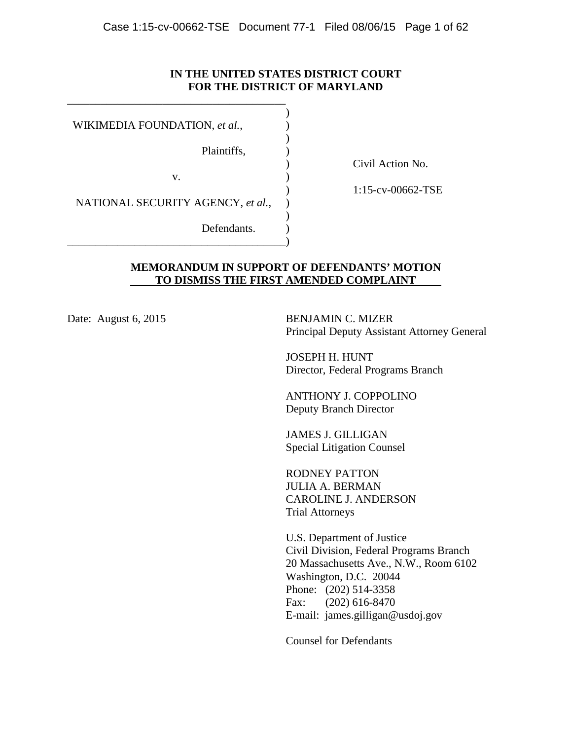## **IN THE UNITED STATES DISTRICT COURT FOR THE DISTRICT OF MARYLAND**

 WIKIMEDIA FOUNDATION, *et al.*, Plaintiffs, v. NATIONAL SECURITY AGENCY, *et al.*, Defendants. \_\_\_\_\_\_\_\_\_\_\_\_\_\_\_\_\_\_\_\_\_\_\_\_\_\_\_\_\_\_\_\_\_\_\_\_\_\_\_ ) ) ) ) ) ) ) ) )

\_\_\_\_\_\_\_\_\_\_\_\_\_\_\_\_\_\_\_\_\_\_\_\_\_\_\_\_\_\_\_\_\_\_\_\_\_\_\_

) Civil Action No.

) 1:15-cv-00662-TSE

## **MEMORANDUM IN SUPPORT OF DEFENDANTS' MOTION TO DISMISS THE FIRST AMENDED COMPLAINT**

Date: August 6, 2015 BENJAMIN C. MIZER Principal Deputy Assistant Attorney General

> JOSEPH H. HUNT Director, Federal Programs Branch

ANTHONY J. COPPOLINO Deputy Branch Director

JAMES J. GILLIGAN Special Litigation Counsel

RODNEY PATTON JULIA A. BERMAN CAROLINE J. ANDERSON Trial Attorneys

U.S. Department of Justice Civil Division, Federal Programs Branch 20 Massachusetts Ave., N.W., Room 6102 Washington, D.C. 20044 Phone: (202) 514-3358 Fax: (202) 616-8470 E-mail: james.gilligan@usdoj.gov

Counsel for Defendants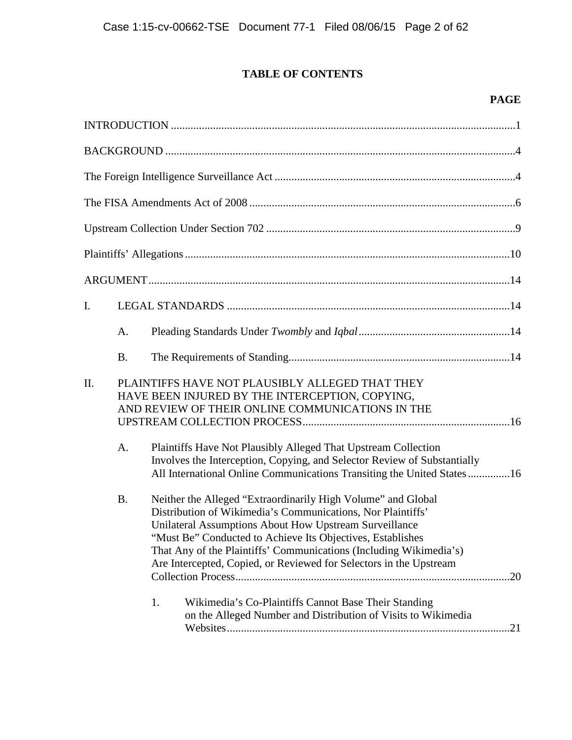# **TABLE OF CONTENTS**

# **PAGE**

| I. |                 |                                                                                                                                                                                                                                                                                                                                                                                                                                                                                                                                                                                                                                                                                                                                                                                   |
|----|-----------------|-----------------------------------------------------------------------------------------------------------------------------------------------------------------------------------------------------------------------------------------------------------------------------------------------------------------------------------------------------------------------------------------------------------------------------------------------------------------------------------------------------------------------------------------------------------------------------------------------------------------------------------------------------------------------------------------------------------------------------------------------------------------------------------|
|    | A.              |                                                                                                                                                                                                                                                                                                                                                                                                                                                                                                                                                                                                                                                                                                                                                                                   |
|    | <b>B.</b>       |                                                                                                                                                                                                                                                                                                                                                                                                                                                                                                                                                                                                                                                                                                                                                                                   |
| Π. | A.<br><b>B.</b> | PLAINTIFFS HAVE NOT PLAUSIBLY ALLEGED THAT THEY<br>HAVE BEEN INJURED BY THE INTERCEPTION, COPYING,<br>AND REVIEW OF THEIR ONLINE COMMUNICATIONS IN THE<br>Plaintiffs Have Not Plausibly Alleged That Upstream Collection<br>Involves the Interception, Copying, and Selector Review of Substantially<br>All International Online Communications Transiting the United States16<br>Neither the Alleged "Extraordinarily High Volume" and Global<br>Distribution of Wikimedia's Communications, Nor Plaintiffs'<br>Unilateral Assumptions About How Upstream Surveillance<br>"Must Be" Conducted to Achieve Its Objectives, Establishes<br>That Any of the Plaintiffs' Communications (Including Wikimedia's)<br>Are Intercepted, Copied, or Reviewed for Selectors in the Upstream |
|    |                 | .20<br>1.<br>Wikimedia's Co-Plaintiffs Cannot Base Their Standing<br>on the Alleged Number and Distribution of Visits to Wikimedia                                                                                                                                                                                                                                                                                                                                                                                                                                                                                                                                                                                                                                                |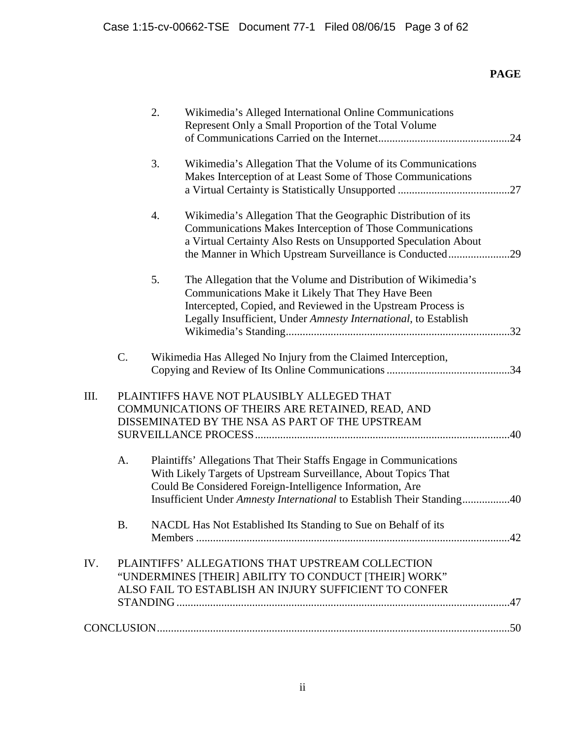# **PAGE**

|     |    | 2. | Wikimedia's Alleged International Online Communications<br>Represent Only a Small Proportion of the Total Volume                                                                                                                                                             |  |
|-----|----|----|------------------------------------------------------------------------------------------------------------------------------------------------------------------------------------------------------------------------------------------------------------------------------|--|
|     |    | 3. | Wikimedia's Allegation That the Volume of its Communications<br>Makes Interception of at Least Some of Those Communications                                                                                                                                                  |  |
|     |    | 4. | Wikimedia's Allegation That the Geographic Distribution of its<br>Communications Makes Interception of Those Communications<br>a Virtual Certainty Also Rests on Unsupported Speculation About<br>the Manner in Which Upstream Surveillance is Conducted29                   |  |
|     |    | 5. | The Allegation that the Volume and Distribution of Wikimedia's<br>Communications Make it Likely That They Have Been<br>Intercepted, Copied, and Reviewed in the Upstream Process is<br>Legally Insufficient, Under Amnesty International, to Establish                       |  |
|     | C. |    | Wikimedia Has Alleged No Injury from the Claimed Interception,                                                                                                                                                                                                               |  |
| Ш.  |    |    | PLAINTIFFS HAVE NOT PLAUSIBLY ALLEGED THAT<br>COMMUNICATIONS OF THEIRS ARE RETAINED, READ, AND<br>DISSEMINATED BY THE NSA AS PART OF THE UPSTREAM                                                                                                                            |  |
|     | A. |    | Plaintiffs' Allegations That Their Staffs Engage in Communications<br>With Likely Targets of Upstream Surveillance, About Topics That<br>Could Be Considered Foreign-Intelligence Information, Are<br>Insufficient Under Amnesty International to Establish Their Standing40 |  |
|     | B  |    | NACDL Has Not Established Its Standing to Sue on Behalf of its                                                                                                                                                                                                               |  |
| IV. |    |    | PLAINTIFFS' ALLEGATIONS THAT UPSTREAM COLLECTION<br>"UNDERMINES [THEIR] ABILITY TO CONDUCT [THEIR] WORK"<br>ALSO FAIL TO ESTABLISH AN INJURY SUFFICIENT TO CONFER                                                                                                            |  |
|     |    |    |                                                                                                                                                                                                                                                                              |  |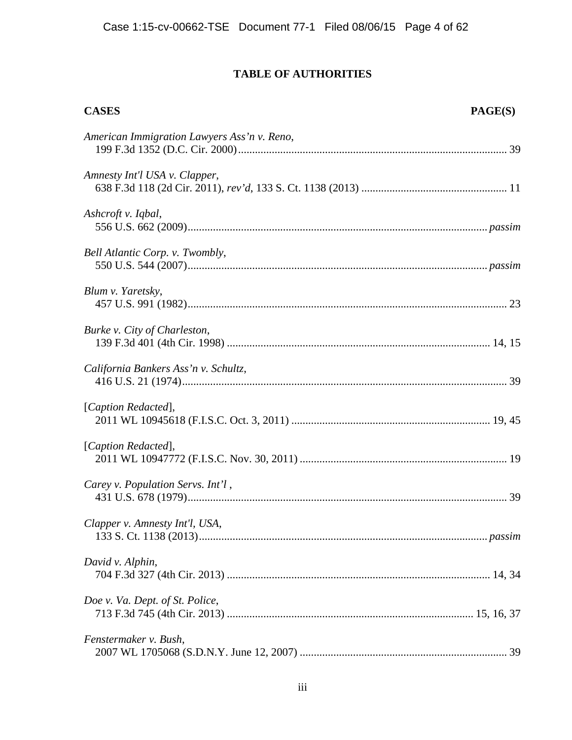# **TABLE OF AUTHORITIES**

| <b>CASES</b>                                | <b>PAGE(S)</b> |
|---------------------------------------------|----------------|
| American Immigration Lawyers Ass'n v. Reno, |                |
| Amnesty Int'l USA v. Clapper,               |                |
| Ashcroft v. Iqbal,                          |                |
| Bell Atlantic Corp. v. Twombly,             |                |
| Blum v. Yaretsky,                           |                |
| Burke v. City of Charleston,                |                |
| California Bankers Ass'n v. Schultz,        |                |
| [Caption Redacted],                         |                |
| [Caption Redacted],                         |                |
| Carey v. Population Servs. Int'l,           |                |
| Clapper v. Amnesty Int'l, USA,              |                |
| David v. Alphin,                            |                |
| Doe v. Va. Dept. of St. Police,             |                |
| Fenstermaker v. Bush,                       |                |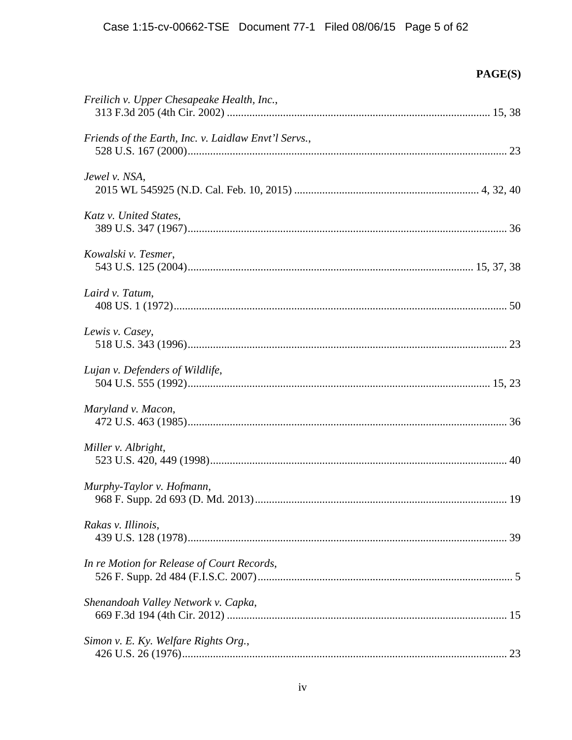| Freilich v. Upper Chesapeake Health, Inc.,           |  |
|------------------------------------------------------|--|
| Friends of the Earth, Inc. v. Laidlaw Envt'l Servs., |  |
| Jewel v. NSA,                                        |  |
| Katz v. United States,                               |  |
| Kowalski v. Tesmer,                                  |  |
| Laird v. Tatum,                                      |  |
| Lewis v. Casey,                                      |  |
| Lujan v. Defenders of Wildlife,                      |  |
| Maryland v. Macon,                                   |  |
| Miller v. Albright,                                  |  |
| Murphy-Taylor v. Hofmann,                            |  |
| Rakas v. Illinois,                                   |  |
| In re Motion for Release of Court Records,           |  |
| Shenandoah Valley Network v. Capka,                  |  |
| Simon v. E. Ky. Welfare Rights Org.,                 |  |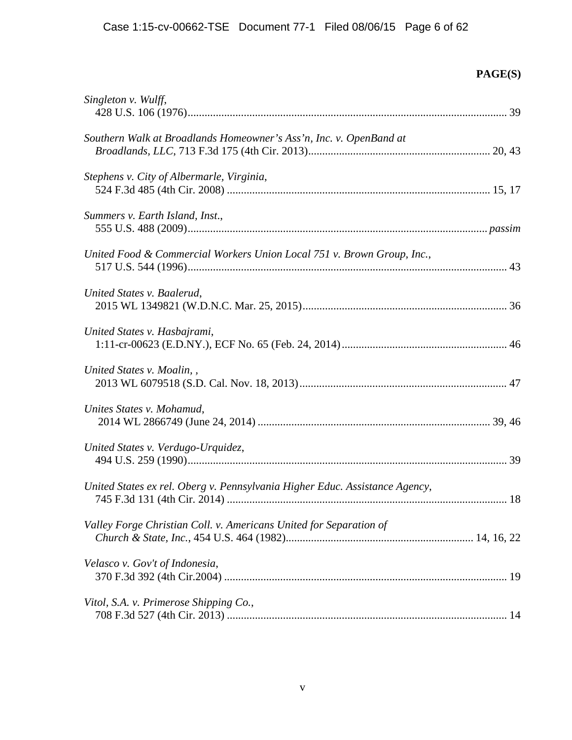| Singleton v. Wulff,                                                         |  |
|-----------------------------------------------------------------------------|--|
| Southern Walk at Broadlands Homeowner's Ass'n, Inc. v. OpenBand at          |  |
| Stephens v. City of Albermarle, Virginia,                                   |  |
| Summers v. Earth Island, Inst.,                                             |  |
| United Food & Commercial Workers Union Local 751 v. Brown Group, Inc.,      |  |
| United States v. Baalerud,                                                  |  |
| United States v. Hasbajrami,                                                |  |
| United States v. Moalin,                                                    |  |
| Unites States v. Mohamud,                                                   |  |
| United States v. Verdugo-Urquidez,                                          |  |
| United States ex rel. Oberg v. Pennsylvania Higher Educ. Assistance Agency, |  |
| Valley Forge Christian Coll. v. Americans United for Separation of          |  |
| Velasco v. Gov't of Indonesia,                                              |  |
| Vitol, S.A. v. Primerose Shipping Co.,                                      |  |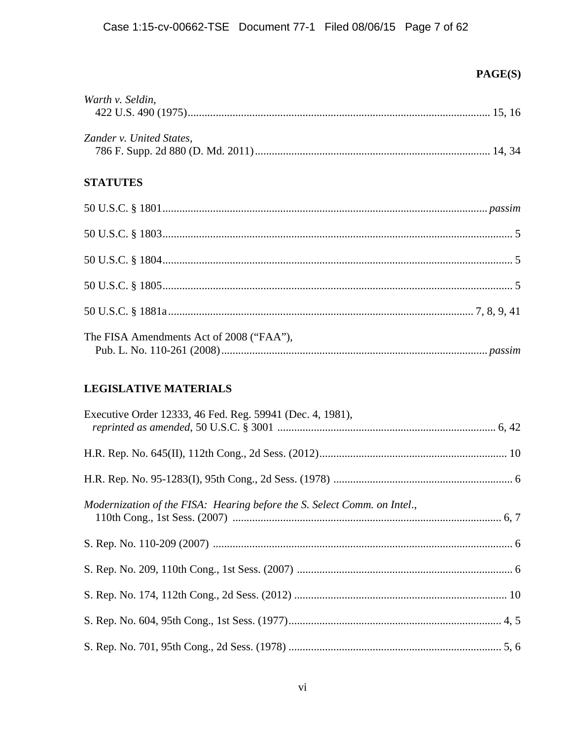| Warth v. Seldin,                         |  |
|------------------------------------------|--|
|                                          |  |
| Zander v. United States,                 |  |
| <b>STATUTES</b>                          |  |
|                                          |  |
|                                          |  |
|                                          |  |
|                                          |  |
|                                          |  |
| The FISA Amendments Act of 2008 ("FAA"), |  |

# **LEGISLATIVE MATERIALS**

| Executive Order 12333, 46 Fed. Reg. 59941 (Dec. 4, 1981),                |  |
|--------------------------------------------------------------------------|--|
|                                                                          |  |
|                                                                          |  |
| Modernization of the FISA: Hearing before the S. Select Comm. on Intel., |  |
|                                                                          |  |
|                                                                          |  |
|                                                                          |  |
|                                                                          |  |
|                                                                          |  |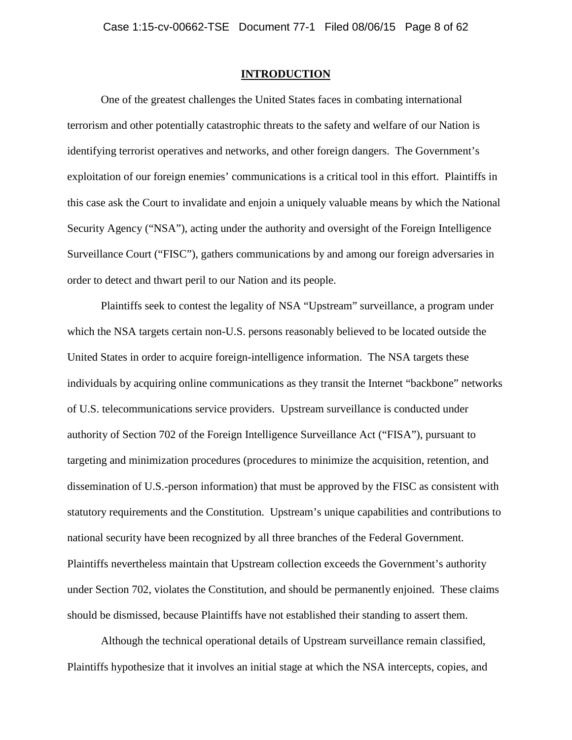#### **INTRODUCTION**

One of the greatest challenges the United States faces in combating international terrorism and other potentially catastrophic threats to the safety and welfare of our Nation is identifying terrorist operatives and networks, and other foreign dangers. The Government's exploitation of our foreign enemies' communications is a critical tool in this effort. Plaintiffs in this case ask the Court to invalidate and enjoin a uniquely valuable means by which the National Security Agency ("NSA"), acting under the authority and oversight of the Foreign Intelligence Surveillance Court ("FISC"), gathers communications by and among our foreign adversaries in order to detect and thwart peril to our Nation and its people.

Plaintiffs seek to contest the legality of NSA "Upstream" surveillance, a program under which the NSA targets certain non-U.S. persons reasonably believed to be located outside the United States in order to acquire foreign-intelligence information. The NSA targets these individuals by acquiring online communications as they transit the Internet "backbone" networks of U.S. telecommunications service providers. Upstream surveillance is conducted under authority of Section 702 of the Foreign Intelligence Surveillance Act ("FISA"), pursuant to targeting and minimization procedures (procedures to minimize the acquisition, retention, and dissemination of U.S.-person information) that must be approved by the FISC as consistent with statutory requirements and the Constitution. Upstream's unique capabilities and contributions to national security have been recognized by all three branches of the Federal Government. Plaintiffs nevertheless maintain that Upstream collection exceeds the Government's authority under Section 702, violates the Constitution, and should be permanently enjoined. These claims should be dismissed, because Plaintiffs have not established their standing to assert them.

Although the technical operational details of Upstream surveillance remain classified, Plaintiffs hypothesize that it involves an initial stage at which the NSA intercepts, copies, and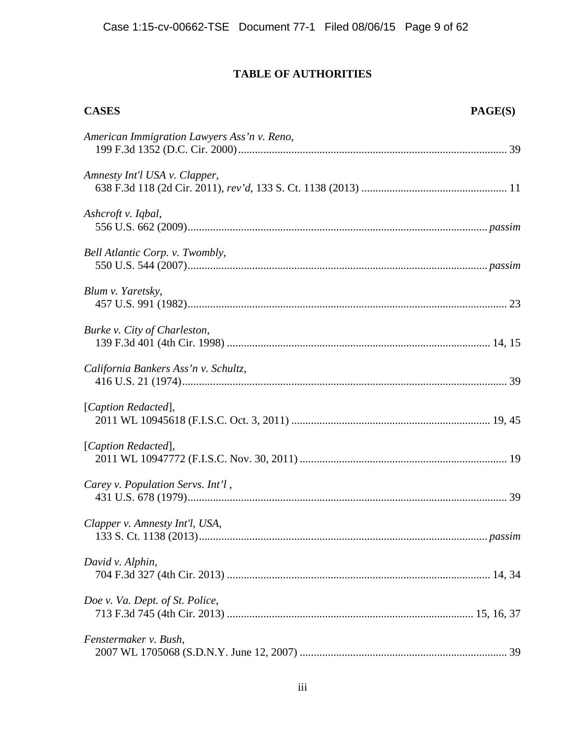# **TABLE OF AUTHORITIES**

| <b>CASES</b>                                | PAGE(S) |
|---------------------------------------------|---------|
| American Immigration Lawyers Ass'n v. Reno, |         |
| Amnesty Int'l USA v. Clapper,               |         |
| Ashcroft v. Iqbal,                          |         |
| Bell Atlantic Corp. v. Twombly,             |         |
| Blum v. Yaretsky,                           |         |
| Burke v. City of Charleston,                |         |
| California Bankers Ass'n v. Schultz,        |         |
| [Caption Redacted],                         |         |
| [Caption Redacted],                         |         |
| Carey v. Population Servs. Int'l,           |         |
| Clapper v. Amnesty Int'l, USA,              |         |
| David v. Alphin,                            |         |
| Doe v. Va. Dept. of St. Police,             |         |
| Fenstermaker v. Bush,                       |         |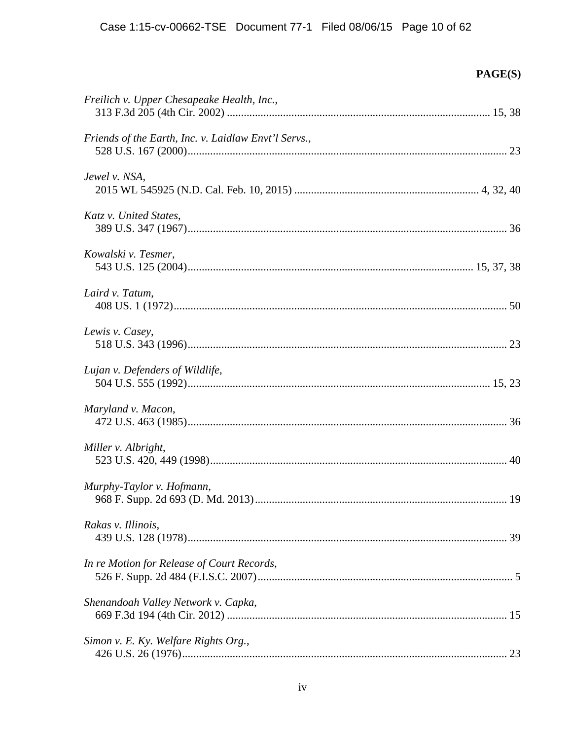| Freilich v. Upper Chesapeake Health, Inc.,           |  |
|------------------------------------------------------|--|
| Friends of the Earth, Inc. v. Laidlaw Envt'l Servs., |  |
| Jewel v. NSA,                                        |  |
| Katz v. United States,                               |  |
| Kowalski v. Tesmer,                                  |  |
| Laird v. Tatum,                                      |  |
| Lewis v. Casey,                                      |  |
| Lujan v. Defenders of Wildlife,                      |  |
| Maryland v. Macon,                                   |  |
| Miller v. Albright,                                  |  |
| Murphy-Taylor v. Hofmann,                            |  |
| Rakas v. Illinois,                                   |  |
| In re Motion for Release of Court Records,           |  |
| Shenandoah Valley Network v. Capka,                  |  |
| Simon v. E. Ky. Welfare Rights Org.,                 |  |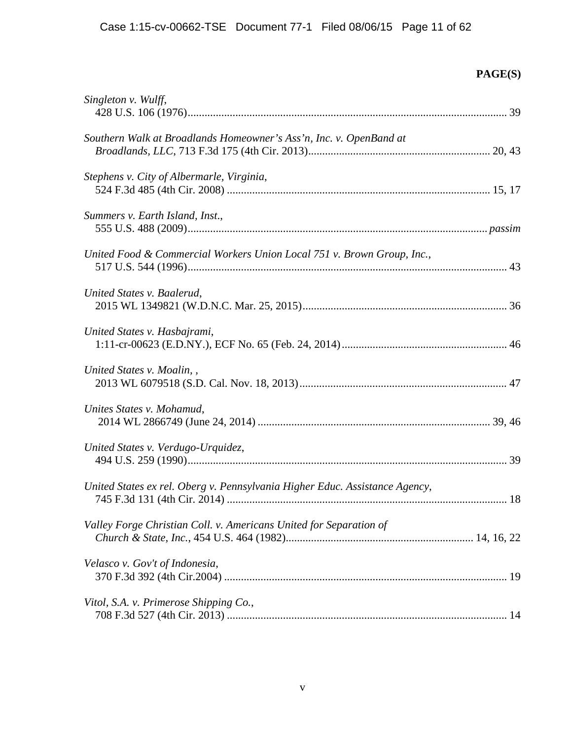| Singleton v. Wulff,                                                         |  |
|-----------------------------------------------------------------------------|--|
| Southern Walk at Broadlands Homeowner's Ass'n, Inc. v. OpenBand at          |  |
| Stephens v. City of Albermarle, Virginia,                                   |  |
| Summers v. Earth Island, Inst.,                                             |  |
| United Food & Commercial Workers Union Local 751 v. Brown Group, Inc.,      |  |
| United States v. Baalerud,                                                  |  |
| United States v. Hasbajrami,                                                |  |
| United States v. Moalin,                                                    |  |
| Unites States v. Mohamud,                                                   |  |
| United States v. Verdugo-Urquidez,                                          |  |
| United States ex rel. Oberg v. Pennsylvania Higher Educ. Assistance Agency, |  |
| Valley Forge Christian Coll. v. Americans United for Separation of          |  |
| Velasco v. Gov't of Indonesia,                                              |  |
| Vitol, S.A. v. Primerose Shipping Co.,                                      |  |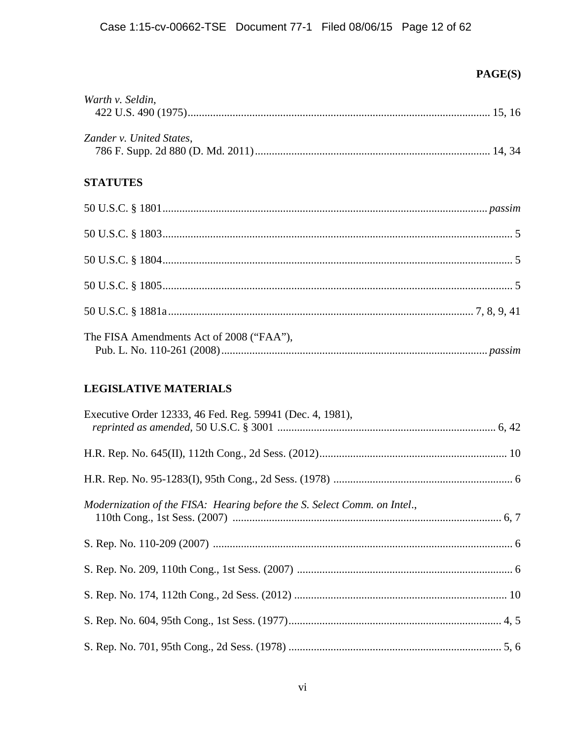| Warth v. Seldin,                         |
|------------------------------------------|
| Zander v. United States,                 |
| <b>STATUTES</b>                          |
|                                          |
|                                          |
|                                          |
|                                          |
|                                          |
| The FISA Amendments Act of 2008 ("FAA"), |

## **LEGISLATIVE MATERIALS**

| Executive Order 12333, 46 Fed. Reg. 59941 (Dec. 4, 1981),                |  |
|--------------------------------------------------------------------------|--|
|                                                                          |  |
|                                                                          |  |
| Modernization of the FISA: Hearing before the S. Select Comm. on Intel., |  |
|                                                                          |  |
|                                                                          |  |
|                                                                          |  |
|                                                                          |  |
|                                                                          |  |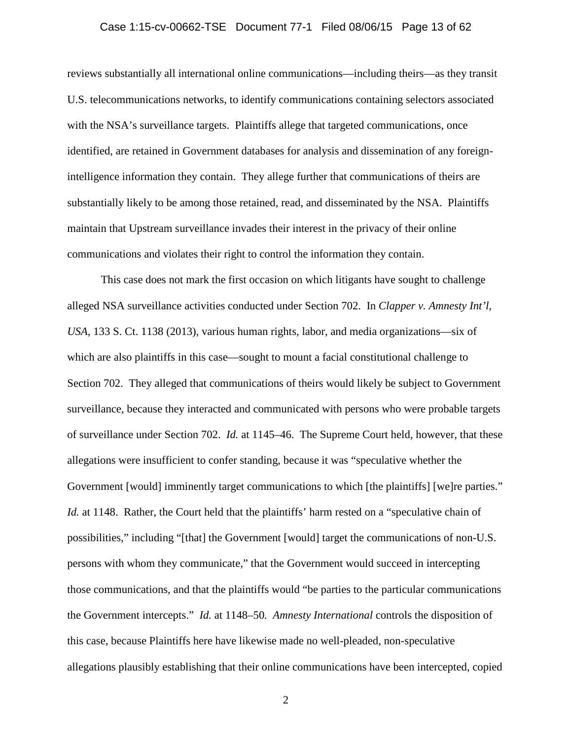#### Case 1:15-cv-00662-TSE Document 77-1 Filed 08/06/15 Page 13 of 62

reviews substantially all international online communications—including theirs—as they transit U.S. telecommunications networks, to identify communications containing selectors associated with the NSA's surveillance targets. Plaintiffs allege that targeted communications, once identified, are retained in Government databases for analysis and dissemination of any foreignintelligence information they contain. They allege further that communications of theirs are substantially likely to be among those retained, read, and disseminated by the NSA. Plaintiffs maintain that Upstream surveillance invades their interest in the privacy of their online communications and violates their right to control the information they contain.

This case does not mark the first occasion on which litigants have sought to challenge alleged NSA surveillance activities conducted under Section 702. In *Clapper v. Amnesty Int'l, USA*, 133 S. Ct. 1138 (2013), various human rights, labor, and media organizations—six of which are also plaintiffs in this case—sought to mount a facial constitutional challenge to Section 702. They alleged that communications of theirs would likely be subject to Government surveillance, because they interacted and communicated with persons who were probable targets of surveillance under Section 702. *Id.* at 1145–46. The Supreme Court held, however, that these allegations were insufficient to confer standing, because it was "speculative whether the Government [would] imminently target communications to which [the plaintiffs] [we]re parties." *Id.* at 1148. Rather, the Court held that the plaintiffs' harm rested on a "speculative chain of possibilities," including "[that] the Government [would] target the communications of non-U.S. persons with whom they communicate," that the Government would succeed in intercepting those communications, and that the plaintiffs would "be parties to the particular communications the Government intercepts." *Id.* at 1148–50*. Amnesty International* controls the disposition of this case, because Plaintiffs here have likewise made no well-pleaded, non-speculative allegations plausibly establishing that their online communications have been intercepted, copied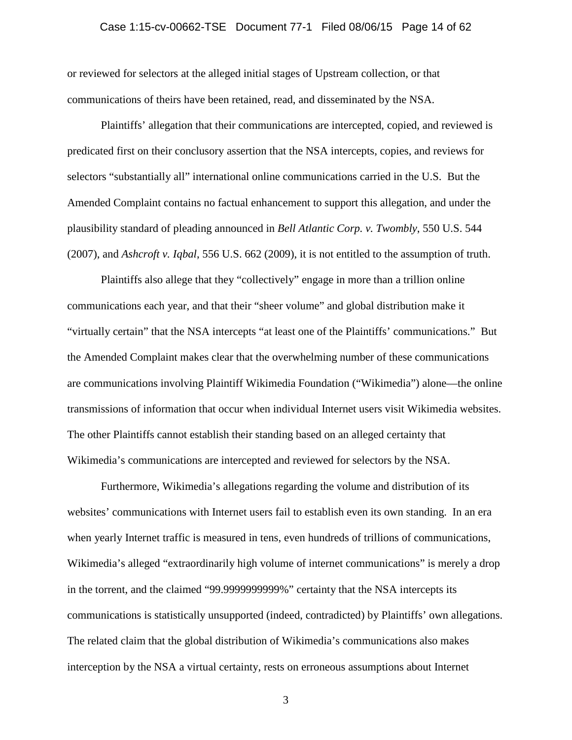## Case 1:15-cv-00662-TSE Document 77-1 Filed 08/06/15 Page 14 of 62

or reviewed for selectors at the alleged initial stages of Upstream collection, or that communications of theirs have been retained, read, and disseminated by the NSA.

Plaintiffs' allegation that their communications are intercepted, copied, and reviewed is predicated first on their conclusory assertion that the NSA intercepts, copies, and reviews for selectors "substantially all" international online communications carried in the U.S. But the Amended Complaint contains no factual enhancement to support this allegation, and under the plausibility standard of pleading announced in *Bell Atlantic Corp. v. Twombly*, 550 U.S. 544 (2007), and *Ashcroft v. Iqbal*, 556 U.S. 662 (2009), it is not entitled to the assumption of truth.

Plaintiffs also allege that they "collectively" engage in more than a trillion online communications each year, and that their "sheer volume" and global distribution make it "virtually certain" that the NSA intercepts "at least one of the Plaintiffs' communications." But the Amended Complaint makes clear that the overwhelming number of these communications are communications involving Plaintiff Wikimedia Foundation ("Wikimedia") alone—the online transmissions of information that occur when individual Internet users visit Wikimedia websites. The other Plaintiffs cannot establish their standing based on an alleged certainty that Wikimedia's communications are intercepted and reviewed for selectors by the NSA.

Furthermore, Wikimedia's allegations regarding the volume and distribution of its websites' communications with Internet users fail to establish even its own standing. In an era when yearly Internet traffic is measured in tens, even hundreds of trillions of communications, Wikimedia's alleged "extraordinarily high volume of internet communications" is merely a drop in the torrent, and the claimed "99.9999999999%" certainty that the NSA intercepts its communications is statistically unsupported (indeed, contradicted) by Plaintiffs' own allegations. The related claim that the global distribution of Wikimedia's communications also makes interception by the NSA a virtual certainty, rests on erroneous assumptions about Internet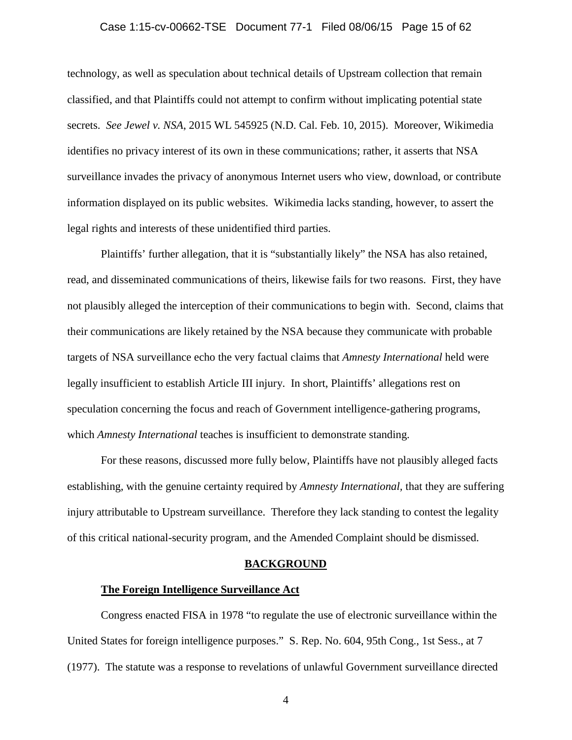#### Case 1:15-cv-00662-TSE Document 77-1 Filed 08/06/15 Page 15 of 62

technology, as well as speculation about technical details of Upstream collection that remain classified, and that Plaintiffs could not attempt to confirm without implicating potential state secrets. *See Jewel v. NSA*, 2015 WL 545925 (N.D. Cal. Feb. 10, 2015). Moreover, Wikimedia identifies no privacy interest of its own in these communications; rather, it asserts that NSA surveillance invades the privacy of anonymous Internet users who view, download, or contribute information displayed on its public websites. Wikimedia lacks standing, however, to assert the legal rights and interests of these unidentified third parties.

Plaintiffs' further allegation, that it is "substantially likely" the NSA has also retained, read, and disseminated communications of theirs, likewise fails for two reasons. First, they have not plausibly alleged the interception of their communications to begin with. Second, claims that their communications are likely retained by the NSA because they communicate with probable targets of NSA surveillance echo the very factual claims that *Amnesty International* held were legally insufficient to establish Article III injury. In short, Plaintiffs' allegations rest on speculation concerning the focus and reach of Government intelligence-gathering programs, which *Amnesty International* teaches is insufficient to demonstrate standing.

For these reasons, discussed more fully below, Plaintiffs have not plausibly alleged facts establishing, with the genuine certainty required by *Amnesty International,* that they are suffering injury attributable to Upstream surveillance. Therefore they lack standing to contest the legality of this critical national-security program, and the Amended Complaint should be dismissed.

#### **BACKGROUND**

#### **The Foreign Intelligence Surveillance Act**

Congress enacted FISA in 1978 "to regulate the use of electronic surveillance within the United States for foreign intelligence purposes." S. Rep. No. 604, 95th Cong., 1st Sess., at 7 (1977). The statute was a response to revelations of unlawful Government surveillance directed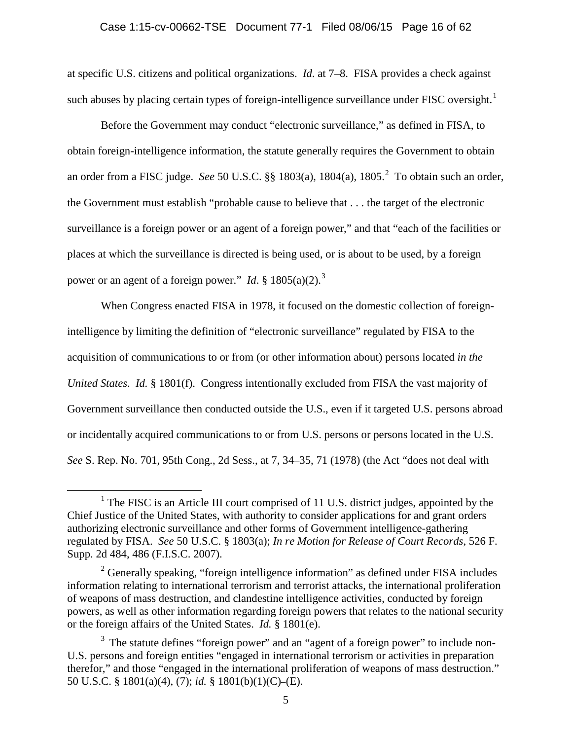at specific U.S. citizens and political organizations. *Id*. at 7–8. FISA provides a check against such abuses by placing certain types of foreign-intelligence surveillance under FISC oversight.<sup>[1](#page-15-0)</sup>

Before the Government may conduct "electronic surveillance," as defined in FISA, to obtain foreign-intelligence information, the statute generally requires the Government to obtain an order from a FISC judge. *See* 50 U.S.C. §§ 1803(a), 1804(a), 1805.[2](#page-15-1) To obtain such an order, the Government must establish "probable cause to believe that . . . the target of the electronic surveillance is a foreign power or an agent of a foreign power," and that "each of the facilities or places at which the surveillance is directed is being used, or is about to be used, by a foreign power or an agent of a foreign power." *Id*. § 1805(a)(2).<sup>[3](#page-15-2)</sup>

When Congress enacted FISA in 1978, it focused on the domestic collection of foreignintelligence by limiting the definition of "electronic surveillance" regulated by FISA to the acquisition of communications to or from (or other information about) persons located *in the United States*. *Id.* § 1801(f). Congress intentionally excluded from FISA the vast majority of Government surveillance then conducted outside the U.S., even if it targeted U.S. persons abroad or incidentally acquired communications to or from U.S. persons or persons located in the U.S. *See* S. Rep. No. 701, 95th Cong., 2d Sess., at 7, 34–35, 71 (1978) (the Act "does not deal with

<span id="page-15-0"></span><sup>&</sup>lt;sup>1</sup> The FISC is an Article III court comprised of 11 U.S. district judges, appointed by the Chief Justice of the United States, with authority to consider applications for and grant orders authorizing electronic surveillance and other forms of Government intelligence-gathering regulated by FISA. *See* 50 U.S.C. § 1803(a); *In re Motion for Release of Court Records*, 526 F. Supp. 2d 484, 486 (F.I.S.C. 2007).

<span id="page-15-1"></span> $2^2$  Generally speaking, "foreign intelligence information" as defined under FISA includes information relating to international terrorism and terrorist attacks, the international proliferation of weapons of mass destruction, and clandestine intelligence activities, conducted by foreign powers, as well as other information regarding foreign powers that relates to the national security or the foreign affairs of the United States. *Id.* § 1801(e).

<span id="page-15-2"></span> $3$  The statute defines "foreign power" and an "agent of a foreign power" to include non-U.S. persons and foreign entities "engaged in international terrorism or activities in preparation therefor," and those "engaged in the international proliferation of weapons of mass destruction." 50 U.S.C. § 1801(a)(4), (7); *id.* § 1801(b)(1)(C)–(E).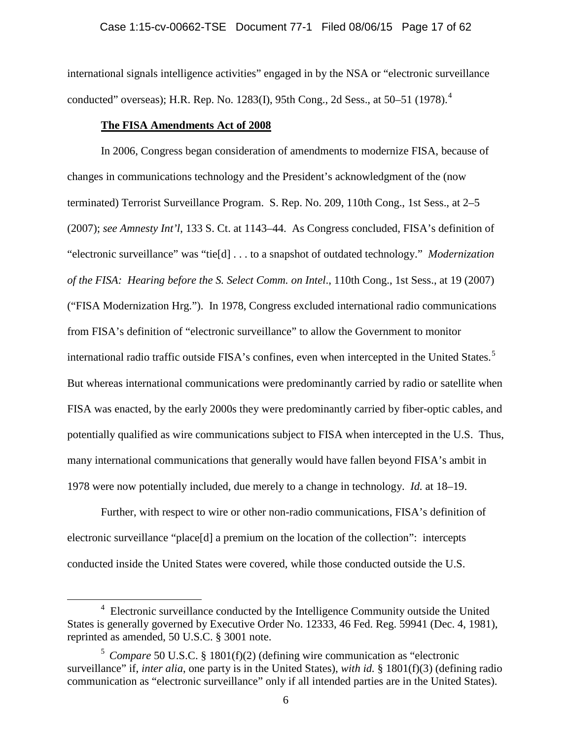international signals intelligence activities" engaged in by the NSA or "electronic surveillance conducted" overseas); H.R. Rep. No. 1283(I), 95th Cong., 2d Sess., at 50–51 (1978). [4](#page-16-0)

#### **The FISA Amendments Act of 2008**

In 2006, Congress began consideration of amendments to modernize FISA, because of changes in communications technology and the President's acknowledgment of the (now terminated) Terrorist Surveillance Program. S. Rep. No. 209, 110th Cong., 1st Sess., at 2–5 (2007); *see Amnesty Int'l*, 133 S. Ct. at 1143–44. As Congress concluded, FISA's definition of "electronic surveillance" was "tie[d] . . . to a snapshot of outdated technology." *Modernization of the FISA: Hearing before the S. Select Comm. on Intel*., 110th Cong., 1st Sess., at 19 (2007) ("FISA Modernization Hrg."). In 1978, Congress excluded international radio communications from FISA's definition of "electronic surveillance" to allow the Government to monitor international radio traffic outside FISA's confines, even when intercepted in the United States. [5](#page-16-1) But whereas international communications were predominantly carried by radio or satellite when FISA was enacted, by the early 2000s they were predominantly carried by fiber-optic cables, and potentially qualified as wire communications subject to FISA when intercepted in the U.S. Thus, many international communications that generally would have fallen beyond FISA's ambit in 1978 were now potentially included, due merely to a change in technology. *Id.* at 18–19.

Further, with respect to wire or other non-radio communications, FISA's definition of electronic surveillance "place[d] a premium on the location of the collection": intercepts conducted inside the United States were covered, while those conducted outside the U.S.

<span id="page-16-0"></span> $\frac{1}{4}$ <sup>4</sup> Electronic surveillance conducted by the Intelligence Community outside the United States is generally governed by Executive Order No. 12333, 46 Fed. Reg. 59941 (Dec. 4, 1981), reprinted as amended, 50 U.S.C. § 3001 note.

<span id="page-16-1"></span><sup>5</sup> *Compare* 50 U.S.C. § 1801(f)(2) (defining wire communication as "electronic surveillance" if, *inter alia*, one party is in the United States), *with id.* § 1801(f)(3) (defining radio communication as "electronic surveillance" only if all intended parties are in the United States).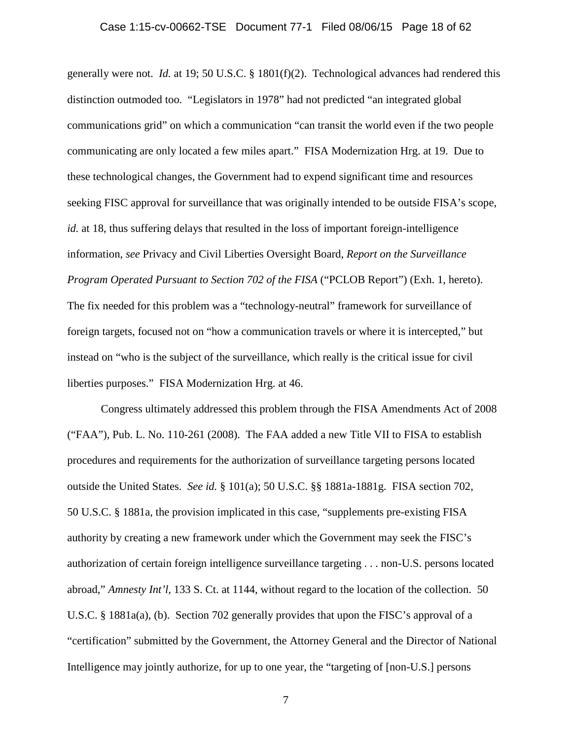generally were not. *Id.* at 19; 50 U.S.C. § 1801(f)(2). Technological advances had rendered this distinction outmoded too. "Legislators in 1978" had not predicted "an integrated global communications grid" on which a communication "can transit the world even if the two people communicating are only located a few miles apart." FISA Modernization Hrg. at 19. Due to these technological changes, the Government had to expend significant time and resources seeking FISC approval for surveillance that was originally intended to be outside FISA's scope, *id.* at 18, thus suffering delays that resulted in the loss of important foreign-intelligence information, *see* Privacy and Civil Liberties Oversight Board, *Report on the Surveillance Program Operated Pursuant to Section 702 of the FISA* ("PCLOB Report") (Exh. 1, hereto). The fix needed for this problem was a "technology-neutral" framework for surveillance of foreign targets, focused not on "how a communication travels or where it is intercepted," but instead on "who is the subject of the surveillance, which really is the critical issue for civil liberties purposes." FISA Modernization Hrg. at 46.

Congress ultimately addressed this problem through the FISA Amendments Act of 2008 ("FAA"), Pub. L. No. 110-261 (2008). The FAA added a new Title VII to FISA to establish procedures and requirements for the authorization of surveillance targeting persons located outside the United States. *See id.* § 101(a); 50 U.S.C. §§ 1881a-1881g. FISA section 702, 50 U.S.C. § 1881a, the provision implicated in this case, "supplements pre-existing FISA authority by creating a new framework under which the Government may seek the FISC's authorization of certain foreign intelligence surveillance targeting . . . non-U.S. persons located abroad," *Amnesty Int'l*, 133 S. Ct. at 1144, without regard to the location of the collection. 50 U.S.C. § 1881a(a), (b). Section 702 generally provides that upon the FISC's approval of a "certification" submitted by the Government, the Attorney General and the Director of National Intelligence may jointly authorize, for up to one year, the "targeting of [non-U.S.] persons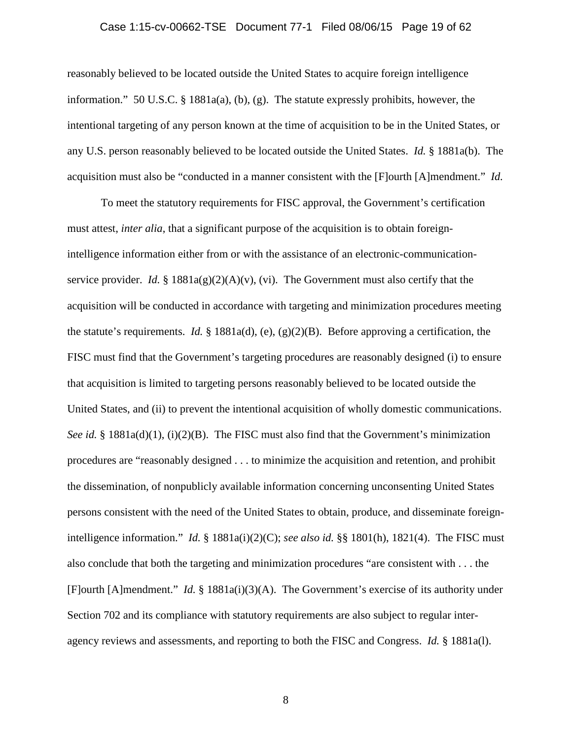## Case 1:15-cv-00662-TSE Document 77-1 Filed 08/06/15 Page 19 of 62

reasonably believed to be located outside the United States to acquire foreign intelligence information." 50 U.S.C. § 1881a(a), (b), (g). The statute expressly prohibits, however, the intentional targeting of any person known at the time of acquisition to be in the United States, or any U.S. person reasonably believed to be located outside the United States. *Id.* § 1881a(b). The acquisition must also be "conducted in a manner consistent with the [F]ourth [A]mendment." *Id.*

To meet the statutory requirements for FISC approval, the Government's certification must attest, *inter alia*, that a significant purpose of the acquisition is to obtain foreignintelligence information either from or with the assistance of an electronic-communicationservice provider. *Id.* §  $1881a(g)(2)(A)(v)$ , (vi). The Government must also certify that the acquisition will be conducted in accordance with targeting and minimization procedures meeting the statute's requirements. *Id.* § 1881a(d), (e), (g)(2)(B). Before approving a certification, the FISC must find that the Government's targeting procedures are reasonably designed (i) to ensure that acquisition is limited to targeting persons reasonably believed to be located outside the United States, and (ii) to prevent the intentional acquisition of wholly domestic communications. *See id.* § 1881a(d)(1), (i)(2)(B). The FISC must also find that the Government's minimization procedures are "reasonably designed . . . to minimize the acquisition and retention, and prohibit the dissemination, of nonpublicly available information concerning unconsenting United States persons consistent with the need of the United States to obtain, produce, and disseminate foreignintelligence information." *Id.* § 1881a(i)(2)(C); *see also id.* §§ 1801(h), 1821(4). The FISC must also conclude that both the targeting and minimization procedures "are consistent with . . . the [F]ourth [A]mendment." *Id.* § 1881a(i)(3)(A). The Government's exercise of its authority under Section 702 and its compliance with statutory requirements are also subject to regular interagency reviews and assessments, and reporting to both the FISC and Congress. *Id.* § 1881a(l).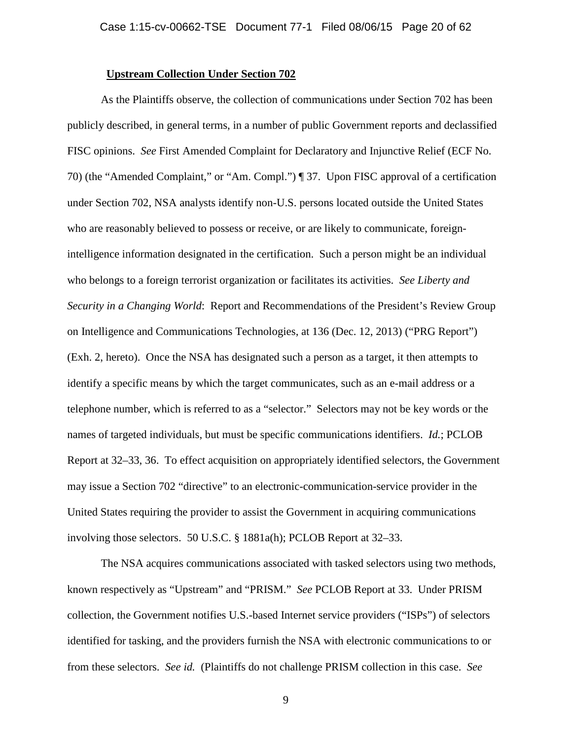#### **Upstream Collection Under Section 702**

As the Plaintiffs observe, the collection of communications under Section 702 has been publicly described, in general terms, in a number of public Government reports and declassified FISC opinions. *See* First Amended Complaint for Declaratory and Injunctive Relief (ECF No. 70) (the "Amended Complaint," or "Am. Compl.") ¶ 37. Upon FISC approval of a certification under Section 702, NSA analysts identify non-U.S. persons located outside the United States who are reasonably believed to possess or receive, or are likely to communicate, foreignintelligence information designated in the certification. Such a person might be an individual who belongs to a foreign terrorist organization or facilitates its activities. *See Liberty and Security in a Changing World*: Report and Recommendations of the President's Review Group on Intelligence and Communications Technologies, at 136 (Dec. 12, 2013) ("PRG Report") (Exh. 2, hereto). Once the NSA has designated such a person as a target, it then attempts to identify a specific means by which the target communicates, such as an e-mail address or a telephone number, which is referred to as a "selector." Selectors may not be key words or the names of targeted individuals, but must be specific communications identifiers. *Id.*; PCLOB Report at 32–33, 36. To effect acquisition on appropriately identified selectors, the Government may issue a Section 702 "directive" to an electronic-communication-service provider in the United States requiring the provider to assist the Government in acquiring communications involving those selectors. 50 U.S.C. § 1881a(h); PCLOB Report at 32–33.

The NSA acquires communications associated with tasked selectors using two methods, known respectively as "Upstream" and "PRISM." *See* PCLOB Report at 33. Under PRISM collection, the Government notifies U.S.-based Internet service providers ("ISPs") of selectors identified for tasking, and the providers furnish the NSA with electronic communications to or from these selectors. *See id.* (Plaintiffs do not challenge PRISM collection in this case. *See*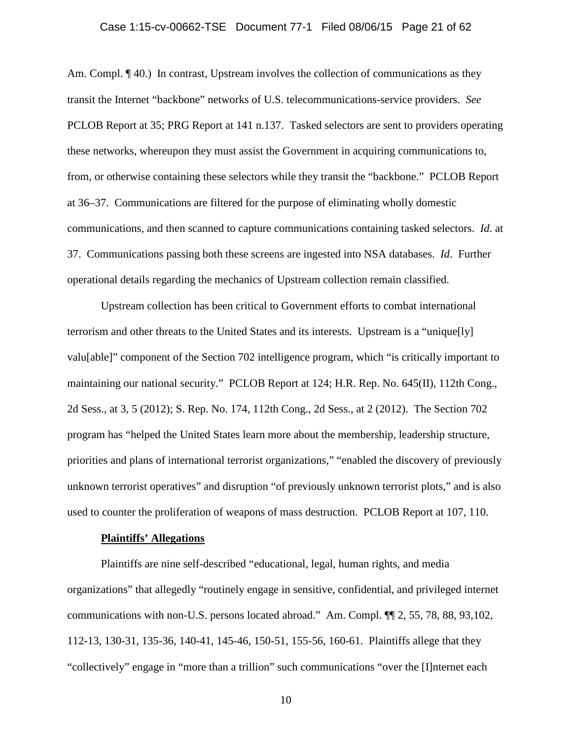#### Case 1:15-cv-00662-TSE Document 77-1 Filed 08/06/15 Page 21 of 62

Am. Compl. ¶ 40.) In contrast, Upstream involves the collection of communications as they transit the Internet "backbone" networks of U.S. telecommunications-service providers. *See*  PCLOB Report at 35; PRG Report at 141 n.137. Tasked selectors are sent to providers operating these networks, whereupon they must assist the Government in acquiring communications to, from, or otherwise containing these selectors while they transit the "backbone." PCLOB Report at 36–37. Communications are filtered for the purpose of eliminating wholly domestic communications, and then scanned to capture communications containing tasked selectors. *Id*. at 37. Communications passing both these screens are ingested into NSA databases. *Id*. Further operational details regarding the mechanics of Upstream collection remain classified.

Upstream collection has been critical to Government efforts to combat international terrorism and other threats to the United States and its interests. Upstream is a "unique[ly] valu[able]" component of the Section 702 intelligence program, which "is critically important to maintaining our national security." PCLOB Report at 124; H.R. Rep. No. 645(II), 112th Cong., 2d Sess., at 3, 5 (2012); S. Rep. No. 174, 112th Cong., 2d Sess., at 2 (2012). The Section 702 program has "helped the United States learn more about the membership, leadership structure, priorities and plans of international terrorist organizations," "enabled the discovery of previously unknown terrorist operatives" and disruption "of previously unknown terrorist plots," and is also used to counter the proliferation of weapons of mass destruction. PCLOB Report at 107, 110.

#### **Plaintiffs' Allegations**

Plaintiffs are nine self-described "educational, legal, human rights, and media organizations" that allegedly "routinely engage in sensitive, confidential, and privileged internet communications with non-U.S. persons located abroad." Am. Compl. ¶¶ 2, 55, 78, 88, 93,102, 112-13, 130-31, 135-36, 140-41, 145-46, 150-51, 155-56, 160-61. Plaintiffs allege that they "collectively" engage in "more than a trillion" such communications "over the [I]nternet each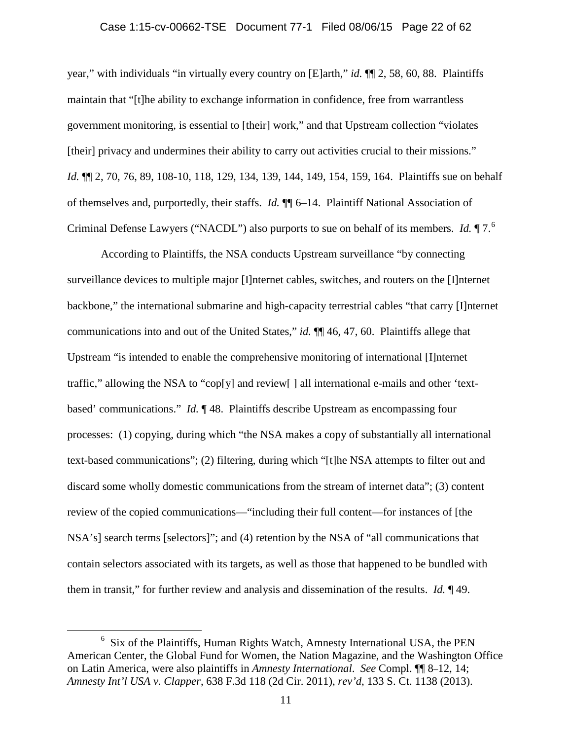## Case 1:15-cv-00662-TSE Document 77-1 Filed 08/06/15 Page 22 of 62

year," with individuals "in virtually every country on [E]arth," *id.* ¶¶ 2, 58, 60, 88. Plaintiffs maintain that "[t]he ability to exchange information in confidence, free from warrantless government monitoring, is essential to [their] work," and that Upstream collection "violates [their] privacy and undermines their ability to carry out activities crucial to their missions." *Id.* ¶¶ 2, 70, 76, 89, 108-10, 118, 129, 134, 139, 144, 149, 154, 159, 164. Plaintiffs sue on behalf of themselves and, purportedly, their staffs. *Id.* ¶¶ 6–14. Plaintiff National Association of Criminal Defense Lawyers ("NACDL") also purports to sue on behalf of its members. *Id.* ¶ 7.[6](#page-21-0)

According to Plaintiffs, the NSA conducts Upstream surveillance "by connecting surveillance devices to multiple major [I]nternet cables, switches, and routers on the [I]nternet backbone," the international submarine and high-capacity terrestrial cables "that carry [I]nternet communications into and out of the United States," *id.* ¶¶ 46, 47, 60. Plaintiffs allege that Upstream "is intended to enable the comprehensive monitoring of international [I]nternet traffic," allowing the NSA to "cop[y] and review[ ] all international e-mails and other 'textbased' communications." *Id.* ¶ 48. Plaintiffs describe Upstream as encompassing four processes: (1) copying, during which "the NSA makes a copy of substantially all international text-based communications"; (2) filtering, during which "[t]he NSA attempts to filter out and discard some wholly domestic communications from the stream of internet data"; (3) content review of the copied communications—"including their full content—for instances of [the NSA's] search terms [selectors]"; and (4) retention by the NSA of "all communications that contain selectors associated with its targets, as well as those that happened to be bundled with them in transit," for further review and analysis and dissemination of the results. *Id.* ¶ 49.

<span id="page-21-0"></span> $\overline{6}$  $6$  Six of the Plaintiffs, Human Rights Watch, Amnesty International USA, the PEN American Center, the Global Fund for Women, the Nation Magazine, and the Washington Office on Latin America, were also plaintiffs in *Amnesty International*. *See* Compl. ¶¶ 8–12, 14; *Amnesty Int'l USA v. Clapper*, 638 F.3d 118 (2d Cir. 2011), *rev'd*, 133 S. Ct. 1138 (2013).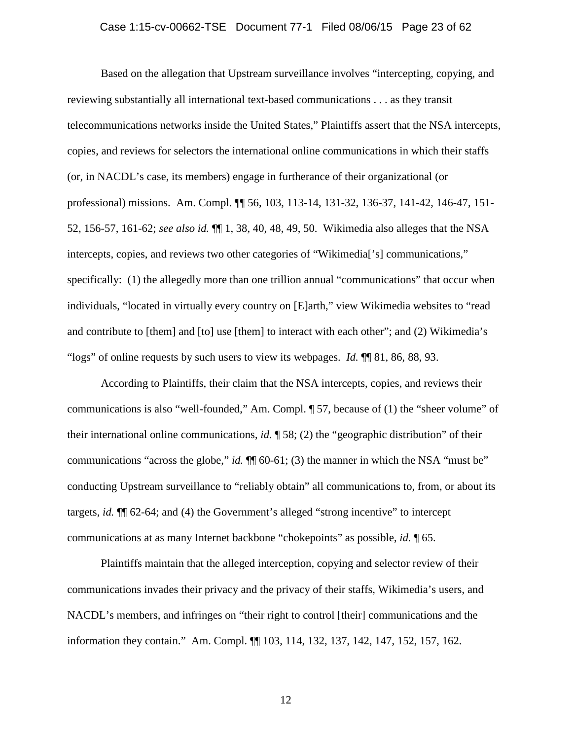Based on the allegation that Upstream surveillance involves "intercepting, copying, and reviewing substantially all international text-based communications . . . as they transit telecommunications networks inside the United States," Plaintiffs assert that the NSA intercepts, copies, and reviews for selectors the international online communications in which their staffs (or, in NACDL's case, its members) engage in furtherance of their organizational (or professional) missions. Am. Compl. ¶¶ 56, 103, 113-14, 131-32, 136-37, 141-42, 146-47, 151- 52, 156-57, 161-62; *see also id.* ¶¶ 1, 38, 40, 48, 49, 50. Wikimedia also alleges that the NSA intercepts, copies, and reviews two other categories of "Wikimedia['s] communications," specifically: (1) the allegedly more than one trillion annual "communications" that occur when individuals, "located in virtually every country on [E]arth," view Wikimedia websites to "read and contribute to [them] and [to] use [them] to interact with each other"; and (2) Wikimedia's "logs" of online requests by such users to view its webpages. *Id.* ¶¶ 81, 86, 88, 93.

According to Plaintiffs, their claim that the NSA intercepts, copies, and reviews their communications is also "well-founded," Am. Compl. ¶ 57, because of (1) the "sheer volume" of their international online communications, *id.* ¶ 58; (2) the "geographic distribution" of their communications "across the globe," *id.*  $\P$  60-61; (3) the manner in which the NSA "must be" conducting Upstream surveillance to "reliably obtain" all communications to, from, or about its targets, *id.* ¶¶ 62-64; and (4) the Government's alleged "strong incentive" to intercept communications at as many Internet backbone "chokepoints" as possible, *id.* ¶ 65.

Plaintiffs maintain that the alleged interception, copying and selector review of their communications invades their privacy and the privacy of their staffs, Wikimedia's users, and NACDL's members, and infringes on "their right to control [their] communications and the information they contain." Am. Compl. ¶¶ 103, 114, 132, 137, 142, 147, 152, 157, 162.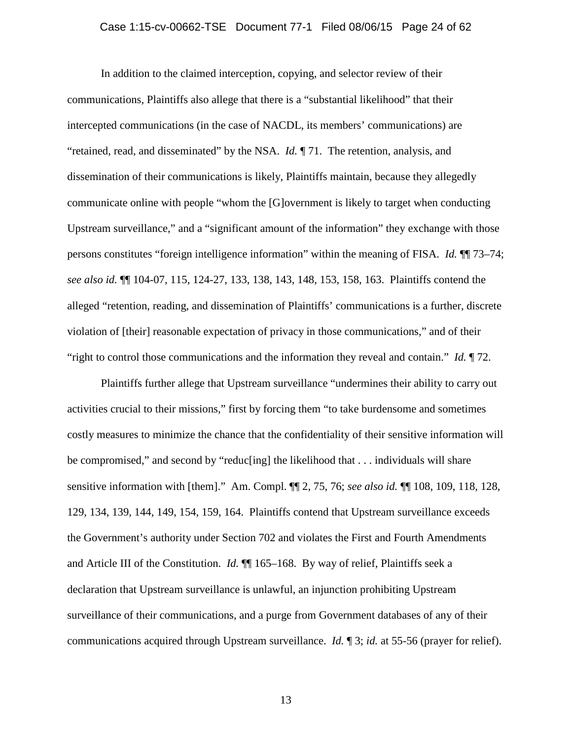In addition to the claimed interception, copying, and selector review of their communications, Plaintiffs also allege that there is a "substantial likelihood" that their intercepted communications (in the case of NACDL, its members' communications) are "retained, read, and disseminated" by the NSA. *Id.* ¶ 71. The retention, analysis, and dissemination of their communications is likely, Plaintiffs maintain, because they allegedly communicate online with people "whom the [G]overnment is likely to target when conducting Upstream surveillance," and a "significant amount of the information" they exchange with those persons constitutes "foreign intelligence information" within the meaning of FISA. *Id.* ¶¶ 73–74; *see also id.* ¶¶ 104-07, 115, 124-27, 133, 138, 143, 148, 153, 158, 163. Plaintiffs contend the alleged "retention, reading, and dissemination of Plaintiffs' communications is a further, discrete violation of [their] reasonable expectation of privacy in those communications," and of their "right to control those communications and the information they reveal and contain." *Id.* ¶ 72.

Plaintiffs further allege that Upstream surveillance "undermines their ability to carry out activities crucial to their missions," first by forcing them "to take burdensome and sometimes costly measures to minimize the chance that the confidentiality of their sensitive information will be compromised," and second by "reduc[ing] the likelihood that . . . individuals will share sensitive information with [them]." Am. Compl. ¶¶ 2, 75, 76; *see also id.* ¶¶ 108, 109, 118, 128, 129, 134, 139, 144, 149, 154, 159, 164. Plaintiffs contend that Upstream surveillance exceeds the Government's authority under Section 702 and violates the First and Fourth Amendments and Article III of the Constitution. *Id.* ¶¶ 165–168. By way of relief, Plaintiffs seek a declaration that Upstream surveillance is unlawful, an injunction prohibiting Upstream surveillance of their communications, and a purge from Government databases of any of their communications acquired through Upstream surveillance. *Id.* ¶ 3; *id.* at 55-56 (prayer for relief).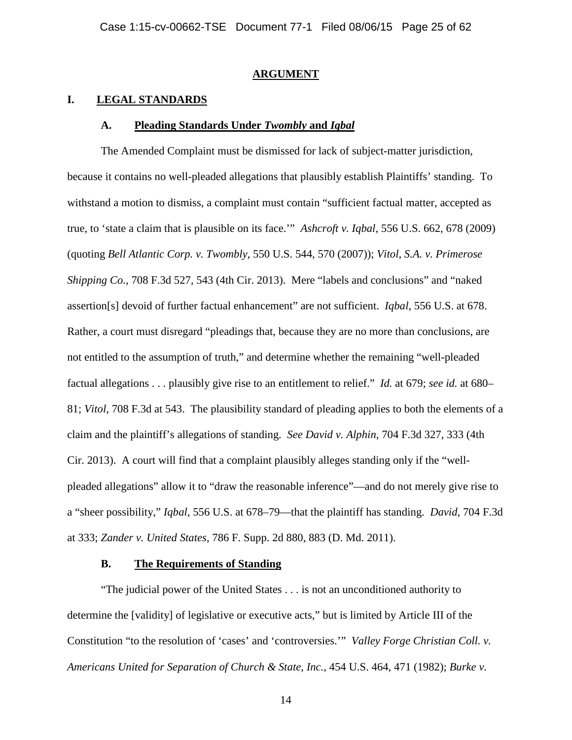#### **ARGUMENT**

#### **I. LEGAL STANDARDS**

#### **A. Pleading Standards Under** *Twombly* **and** *Iqbal*

The Amended Complaint must be dismissed for lack of subject-matter jurisdiction, because it contains no well-pleaded allegations that plausibly establish Plaintiffs' standing. To withstand a motion to dismiss, a complaint must contain "sufficient factual matter, accepted as true, to 'state a claim that is plausible on its face.'" *Ashcroft v. Iqbal*, 556 U.S. 662, 678 (2009) (quoting *Bell Atlantic Corp. v. Twombly*, 550 U.S. 544, 570 (2007)); *Vitol, S.A. v. Primerose Shipping Co.*, 708 F.3d 527, 543 (4th Cir. 2013). Mere "labels and conclusions" and "naked assertion[s] devoid of further factual enhancement" are not sufficient. *Iqbal*, 556 U.S. at 678. Rather, a court must disregard "pleadings that, because they are no more than conclusions, are not entitled to the assumption of truth," and determine whether the remaining "well-pleaded factual allegations . . . plausibly give rise to an entitlement to relief." *Id.* at 679; *see id.* at 680– 81; *Vitol*, 708 F.3d at 543. The plausibility standard of pleading applies to both the elements of a claim and the plaintiff's allegations of standing. *See David v. Alphin*, 704 F.3d 327, 333 (4th Cir. 2013). A court will find that a complaint plausibly alleges standing only if the "wellpleaded allegations" allow it to "draw the reasonable inference"—and do not merely give rise to a "sheer possibility," *Iqbal*, 556 U.S. at 678–79—that the plaintiff has standing. *David*, 704 F.3d at 333; *Zander v. United States*, 786 F. Supp. 2d 880, 883 (D. Md. 2011).

## **B. The Requirements of Standing**

"The judicial power of the United States . . . is not an unconditioned authority to determine the [validity] of legislative or executive acts," but is limited by Article III of the Constitution "to the resolution of 'cases' and 'controversies.'" *Valley Forge Christian Coll. v. Americans United for Separation of Church & State, Inc.*, 454 U.S. 464, 471 (1982); *Burke v.*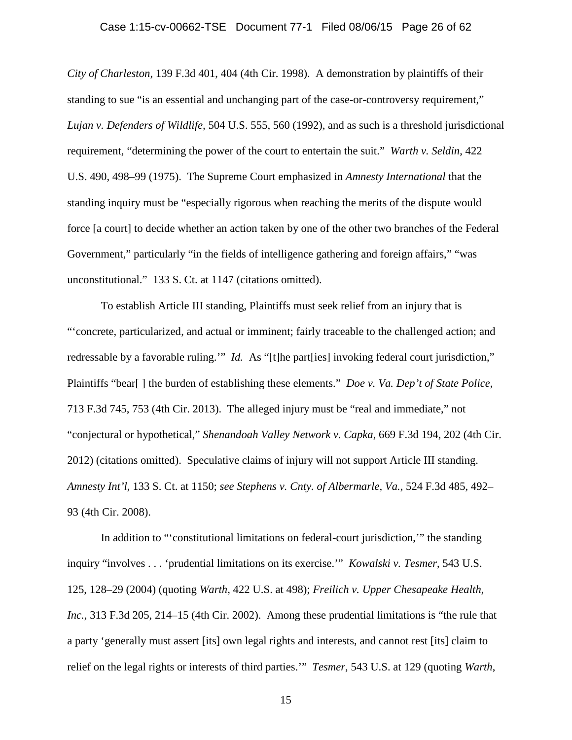## Case 1:15-cv-00662-TSE Document 77-1 Filed 08/06/15 Page 26 of 62

*City of Charleston*, 139 F.3d 401, 404 (4th Cir. 1998). A demonstration by plaintiffs of their standing to sue "is an essential and unchanging part of the case-or-controversy requirement," *Lujan v. Defenders of Wildlife,* 504 U.S. 555, 560 (1992), and as such is a threshold jurisdictional requirement, "determining the power of the court to entertain the suit." *Warth v. Seldin*, 422 U.S. 490, 498–99 (1975). The Supreme Court emphasized in *Amnesty International* that the standing inquiry must be "especially rigorous when reaching the merits of the dispute would force [a court] to decide whether an action taken by one of the other two branches of the Federal Government," particularly "in the fields of intelligence gathering and foreign affairs," "was unconstitutional." 133 S. Ct. at 1147 (citations omitted).

To establish Article III standing, Plaintiffs must seek relief from an injury that is "'concrete, particularized, and actual or imminent; fairly traceable to the challenged action; and redressable by a favorable ruling." *Id.* As "[t]he part[ies] invoking federal court jurisdiction," Plaintiffs "bear[ ] the burden of establishing these elements." *Doe v. Va. Dep't of State Police*, 713 F.3d 745, 753 (4th Cir. 2013). The alleged injury must be "real and immediate," not "conjectural or hypothetical," *Shenandoah Valley Network v. Capka*, 669 F.3d 194, 202 (4th Cir. 2012) (citations omitted). Speculative claims of injury will not support Article III standing. *Amnesty Int'l*, 133 S. Ct. at 1150; *see Stephens v. Cnty. of Albermarle, Va.*, 524 F.3d 485, 492– 93 (4th Cir. 2008).

In addition to "'constitutional limitations on federal-court jurisdiction,'" the standing inquiry "involves . . . 'prudential limitations on its exercise.'" *Kowalski v. Tesmer*, 543 U.S. 125, 128–29 (2004) (quoting *Warth*, 422 U.S. at 498); *Freilich v. Upper Chesapeake Health, Inc.*, 313 F.3d 205, 214–15 (4th Cir. 2002). Among these prudential limitations is "the rule that a party 'generally must assert [its] own legal rights and interests, and cannot rest [its] claim to relief on the legal rights or interests of third parties.'" *Tesmer*, 543 U.S. at 129 (quoting *Warth*,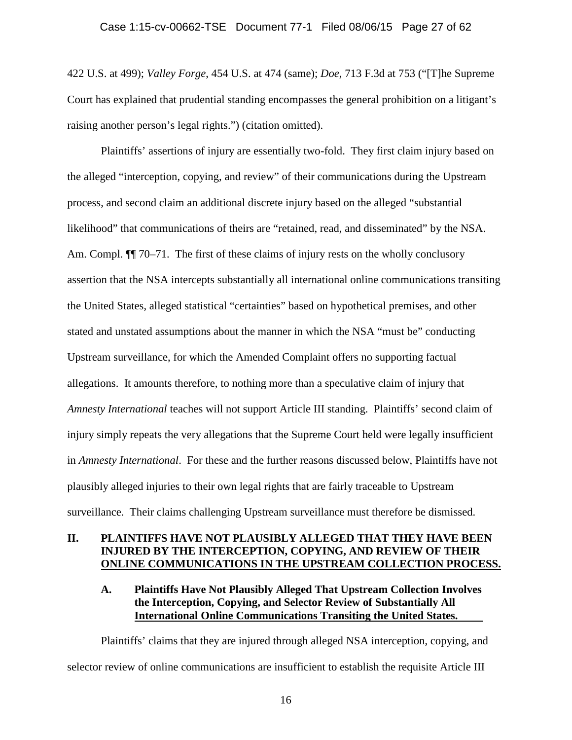422 U.S. at 499); *Valley Forge*, 454 U.S. at 474 (same); *Doe*, 713 F.3d at 753 ("[T]he Supreme Court has explained that prudential standing encompasses the general prohibition on a litigant's raising another person's legal rights.") (citation omitted).

Plaintiffs' assertions of injury are essentially two-fold. They first claim injury based on the alleged "interception, copying, and review" of their communications during the Upstream process, and second claim an additional discrete injury based on the alleged "substantial likelihood" that communications of theirs are "retained, read, and disseminated" by the NSA. Am. Compl.  $\P$ [] 70–71. The first of these claims of injury rests on the wholly conclusory assertion that the NSA intercepts substantially all international online communications transiting the United States, alleged statistical "certainties" based on hypothetical premises, and other stated and unstated assumptions about the manner in which the NSA "must be" conducting Upstream surveillance, for which the Amended Complaint offers no supporting factual allegations. It amounts therefore, to nothing more than a speculative claim of injury that *Amnesty International* teaches will not support Article III standing. Plaintiffs' second claim of injury simply repeats the very allegations that the Supreme Court held were legally insufficient in *Amnesty International*. For these and the further reasons discussed below, Plaintiffs have not plausibly alleged injuries to their own legal rights that are fairly traceable to Upstream surveillance. Their claims challenging Upstream surveillance must therefore be dismissed.

## **II. PLAINTIFFS HAVE NOT PLAUSIBLY ALLEGED THAT THEY HAVE BEEN INJURED BY THE INTERCEPTION, COPYING, AND REVIEW OF THEIR ONLINE COMMUNICATIONS IN THE UPSTREAM COLLECTION PROCESS.**

## **A. Plaintiffs Have Not Plausibly Alleged That Upstream Collection Involves the Interception, Copying, and Selector Review of Substantially All International Online Communications Transiting the United States.**

Plaintiffs' claims that they are injured through alleged NSA interception, copying, and selector review of online communications are insufficient to establish the requisite Article III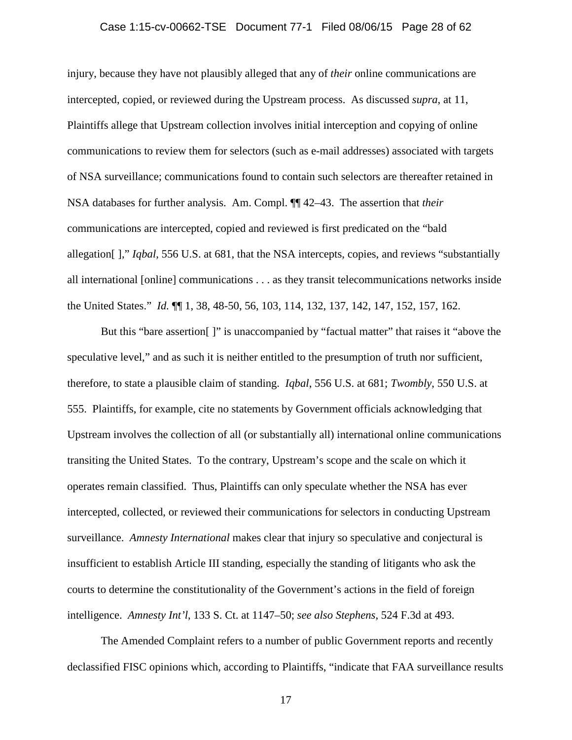## Case 1:15-cv-00662-TSE Document 77-1 Filed 08/06/15 Page 28 of 62

injury, because they have not plausibly alleged that any of *their* online communications are intercepted, copied, or reviewed during the Upstream process. As discussed *supra*, at 11, Plaintiffs allege that Upstream collection involves initial interception and copying of online communications to review them for selectors (such as e-mail addresses) associated with targets of NSA surveillance; communications found to contain such selectors are thereafter retained in NSA databases for further analysis. Am. Compl. ¶¶ 42–43. The assertion that *their* communications are intercepted, copied and reviewed is first predicated on the "bald allegation[ ]," *Iqbal*, 556 U.S. at 681, that the NSA intercepts, copies, and reviews "substantially all international [online] communications . . . as they transit telecommunications networks inside the United States." *Id.* ¶¶ 1, 38, 48-50, 56, 103, 114, 132, 137, 142, 147, 152, 157, 162.

But this "bare assertion[ ]" is unaccompanied by "factual matter" that raises it "above the speculative level," and as such it is neither entitled to the presumption of truth nor sufficient, therefore, to state a plausible claim of standing. *Iqbal*, 556 U.S. at 681; *Twombly*, 550 U.S. at 555. Plaintiffs, for example, cite no statements by Government officials acknowledging that Upstream involves the collection of all (or substantially all) international online communications transiting the United States. To the contrary, Upstream's scope and the scale on which it operates remain classified. Thus, Plaintiffs can only speculate whether the NSA has ever intercepted, collected, or reviewed their communications for selectors in conducting Upstream surveillance. *Amnesty International* makes clear that injury so speculative and conjectural is insufficient to establish Article III standing, especially the standing of litigants who ask the courts to determine the constitutionality of the Government's actions in the field of foreign intelligence. *Amnesty Int'l*, 133 S. Ct. at 1147–50; *see also Stephens*, 524 F.3d at 493.

The Amended Complaint refers to a number of public Government reports and recently declassified FISC opinions which, according to Plaintiffs, "indicate that FAA surveillance results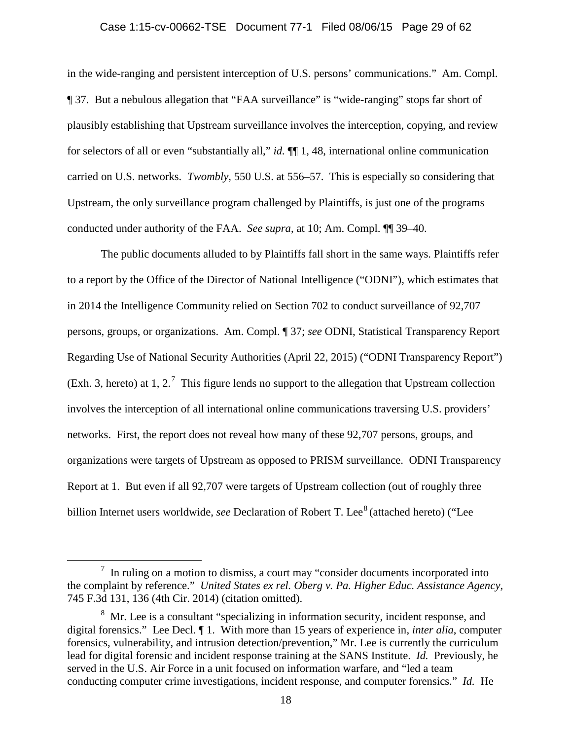## Case 1:15-cv-00662-TSE Document 77-1 Filed 08/06/15 Page 29 of 62

in the wide-ranging and persistent interception of U.S. persons' communications." Am. Compl. ¶ 37. But a nebulous allegation that "FAA surveillance" is "wide-ranging" stops far short of plausibly establishing that Upstream surveillance involves the interception, copying, and review for selectors of all or even "substantially all," *id.* ¶¶ 1, 48, international online communication carried on U.S. networks. *Twombly*, 550 U.S. at 556–57. This is especially so considering that Upstream, the only surveillance program challenged by Plaintiffs, is just one of the programs conducted under authority of the FAA. *See supra*, at 10; Am. Compl. ¶¶ 39–40.

The public documents alluded to by Plaintiffs fall short in the same ways. Plaintiffs refer to a report by the Office of the Director of National Intelligence ("ODNI"), which estimates that in 2014 the Intelligence Community relied on Section 702 to conduct surveillance of 92,707 persons, groups, or organizations. Am. Compl. ¶ 37; *see* ODNI, Statistical Transparency Report Regarding Use of National Security Authorities (April 22, 2015) ("ODNI Transparency Report") (Exh. 3, hereto) at 1, 2.<sup>[7](#page-28-0)</sup> This figure lends no support to the allegation that Upstream collection involves the interception of all international online communications traversing U.S. providers' networks. First, the report does not reveal how many of these 92,707 persons, groups, and organizations were targets of Upstream as opposed to PRISM surveillance. ODNI Transparency Report at 1. But even if all 92,707 were targets of Upstream collection (out of roughly three billion Internet users worldwide, *see* Declaration of Robert T. Lee<sup>[8](#page-28-1)</sup> (attached hereto) ("Lee

<span id="page-28-0"></span> $7$  In ruling on a motion to dismiss, a court may "consider documents incorporated into the complaint by reference." *United States ex rel. Oberg v. Pa. Higher Educ. Assistance Agency*, 745 F.3d 131, 136 (4th Cir. 2014) (citation omitted).

<span id="page-28-1"></span><sup>&</sup>lt;sup>8</sup> Mr. Lee is a consultant "specializing in information security, incident response, and digital forensics." Lee Decl. ¶ 1. With more than 15 years of experience in, *inter alia*, computer forensics, vulnerability, and intrusion detection/prevention," Mr. Lee is currently the curriculum lead for digital forensic and incident response training at the SANS Institute. *Id.* Previously, he served in the U.S. Air Force in a unit focused on information warfare, and "led a team conducting computer crime investigations, incident response, and computer forensics." *Id.* He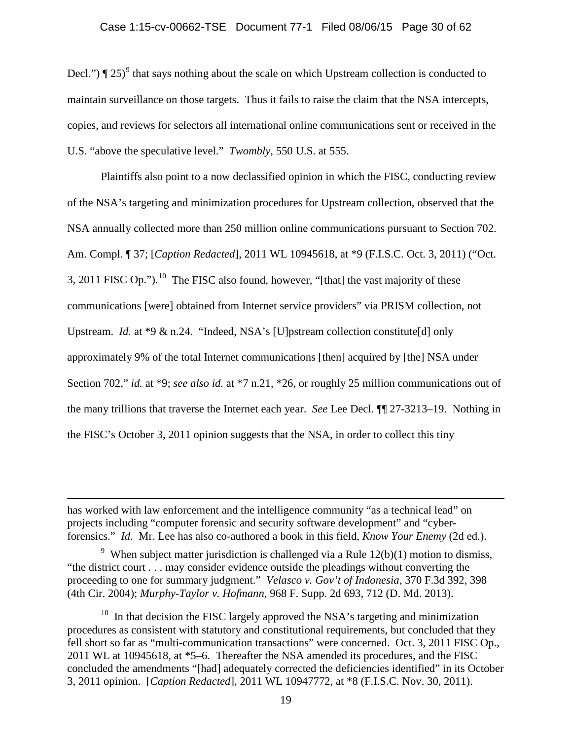## Case 1:15-cv-00662-TSE Document 77-1 Filed 08/06/15 Page 30 of 62

Decl.")  $\P 25$ <sup>[9](#page-29-0)</sup> that says nothing about the scale on which Upstream collection is conducted to maintain surveillance on those targets. Thus it fails to raise the claim that the NSA intercepts, copies, and reviews for selectors all international online communications sent or received in the U.S. "above the speculative level." *Twombly*, 550 U.S. at 555.

Plaintiffs also point to a now declassified opinion in which the FISC, conducting review of the NSA's targeting and minimization procedures for Upstream collection, observed that the NSA annually collected more than 250 million online communications pursuant to Section 702. Am. Compl. ¶ 37; [*Caption Redacted*], 2011 WL 10945618, at \*9 (F.I.S.C. Oct. 3, 2011) ("Oct. 3, 2011 FISC Op.").<sup>10</sup> The FISC also found, however, "[that] the vast majority of these communications [were] obtained from Internet service providers" via PRISM collection, not Upstream. *Id.* at \*9 & n.24. "Indeed, NSA's [U]pstream collection constitute[d] only approximately 9% of the total Internet communications [then] acquired by [the] NSA under Section 702," *id.* at \*9; *see also id.* at \*7 n.21, \*26, or roughly 25 million communications out of the many trillions that traverse the Internet each year. *See* Lee Decl. ¶¶ 27-3213–19. Nothing in the FISC's October 3, 2011 opinion suggests that the NSA, in order to collect this tiny

 $\overline{a}$ 

has worked with law enforcement and the intelligence community "as a technical lead" on projects including "computer forensic and security software development" and "cyberforensics." *Id.* Mr. Lee has also co-authored a book in this field, *Know Your Enemy* (2d ed.).

<span id="page-29-0"></span><sup>&</sup>lt;sup>9</sup> When subject matter jurisdiction is challenged via a Rule  $12(b)(1)$  motion to dismiss, "the district court . . . may consider evidence outside the pleadings without converting the proceeding to one for summary judgment." *Velasco v. Gov't of Indonesia*, 370 F.3d 392, 398 (4th Cir. 2004); *Murphy-Taylor v. Hofmann*, 968 F. Supp. 2d 693, 712 (D. Md. 2013).

<span id="page-29-1"></span> $10$  In that decision the FISC largely approved the NSA's targeting and minimization procedures as consistent with statutory and constitutional requirements, but concluded that they fell short so far as "multi-communication transactions" were concerned. Oct. 3, 2011 FISC Op., 2011 WL at 10945618, at \*5–6. Thereafter the NSA amended its procedures, and the FISC concluded the amendments "[had] adequately corrected the deficiencies identified" in its October 3, 2011 opinion. [*Caption Redacted*], 2011 WL 10947772, at \*8 (F.I.S.C. Nov. 30, 2011).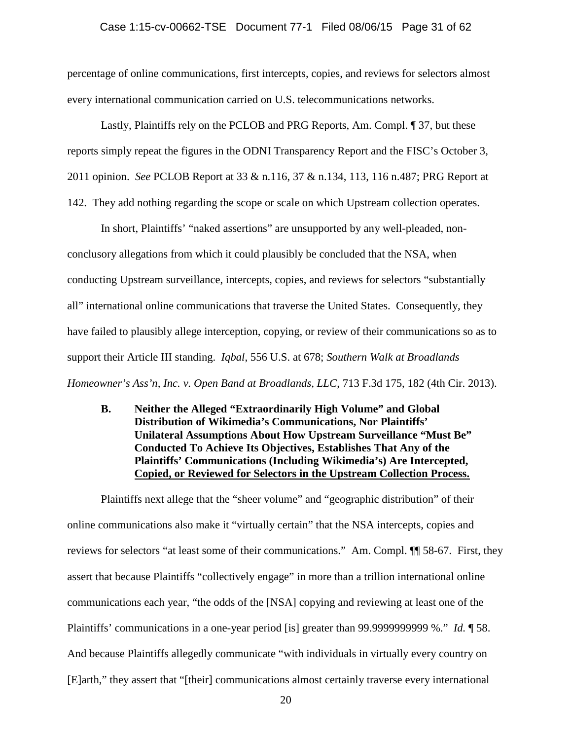#### Case 1:15-cv-00662-TSE Document 77-1 Filed 08/06/15 Page 31 of 62

percentage of online communications, first intercepts, copies, and reviews for selectors almost every international communication carried on U.S. telecommunications networks.

Lastly, Plaintiffs rely on the PCLOB and PRG Reports, Am. Compl. ¶ 37, but these reports simply repeat the figures in the ODNI Transparency Report and the FISC's October 3, 2011 opinion. *See* PCLOB Report at 33 & n.116, 37 & n.134, 113, 116 n.487; PRG Report at

142. They add nothing regarding the scope or scale on which Upstream collection operates.

In short, Plaintiffs' "naked assertions" are unsupported by any well-pleaded, nonconclusory allegations from which it could plausibly be concluded that the NSA, when conducting Upstream surveillance, intercepts, copies, and reviews for selectors "substantially all" international online communications that traverse the United States. Consequently, they have failed to plausibly allege interception, copying, or review of their communications so as to support their Article III standing. *Iqbal*, 556 U.S. at 678; *Southern Walk at Broadlands Homeowner's Ass'n, Inc. v. Open Band at Broadlands, LLC*, 713 F.3d 175, 182 (4th Cir. 2013).

**B. Neither the Alleged "Extraordinarily High Volume" and Global Distribution of Wikimedia's Communications, Nor Plaintiffs' Unilateral Assumptions About How Upstream Surveillance "Must Be" Conducted To Achieve Its Objectives, Establishes That Any of the Plaintiffs' Communications (Including Wikimedia's) Are Intercepted, Copied, or Reviewed for Selectors in the Upstream Collection Process.**

Plaintiffs next allege that the "sheer volume" and "geographic distribution" of their online communications also make it "virtually certain" that the NSA intercepts, copies and reviews for selectors "at least some of their communications." Am. Compl. ¶¶ 58-67. First, they assert that because Plaintiffs "collectively engage" in more than a trillion international online communications each year, "the odds of the [NSA] copying and reviewing at least one of the Plaintiffs' communications in a one-year period [is] greater than 99.9999999999 %." *Id.* ¶ 58. And because Plaintiffs allegedly communicate "with individuals in virtually every country on [E]arth," they assert that "[their] communications almost certainly traverse every international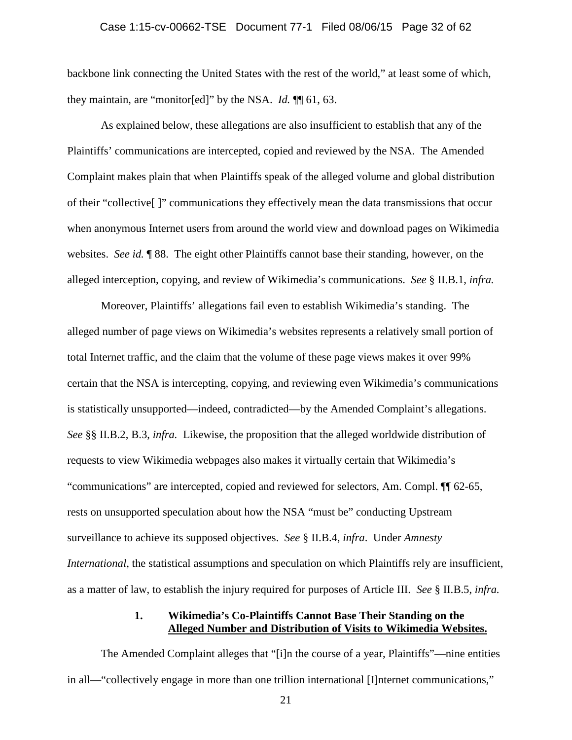#### Case 1:15-cv-00662-TSE Document 77-1 Filed 08/06/15 Page 32 of 62

backbone link connecting the United States with the rest of the world," at least some of which, they maintain, are "monitor[ed]" by the NSA. *Id.* ¶¶ 61, 63.

As explained below, these allegations are also insufficient to establish that any of the Plaintiffs' communications are intercepted, copied and reviewed by the NSA. The Amended Complaint makes plain that when Plaintiffs speak of the alleged volume and global distribution of their "collective[ ]" communications they effectively mean the data transmissions that occur when anonymous Internet users from around the world view and download pages on Wikimedia websites. *See id.* **We 88.** The eight other Plaintiffs cannot base their standing, however, on the alleged interception, copying, and review of Wikimedia's communications. *See* § II.B.1, *infra.*

Moreover, Plaintiffs' allegations fail even to establish Wikimedia's standing. The alleged number of page views on Wikimedia's websites represents a relatively small portion of total Internet traffic, and the claim that the volume of these page views makes it over 99% certain that the NSA is intercepting, copying, and reviewing even Wikimedia's communications is statistically unsupported—indeed, contradicted—by the Amended Complaint's allegations. *See* §§ II.B.2, B.3, *infra.* Likewise, the proposition that the alleged worldwide distribution of requests to view Wikimedia webpages also makes it virtually certain that Wikimedia's "communications" are intercepted, copied and reviewed for selectors, Am. Compl. ¶¶ 62-65, rests on unsupported speculation about how the NSA "must be" conducting Upstream surveillance to achieve its supposed objectives. *See* § II.B.4, *infra*. Under *Amnesty International*, the statistical assumptions and speculation on which Plaintiffs rely are insufficient, as a matter of law, to establish the injury required for purposes of Article III. *See* § II.B.5, *infra.*

## **1. Wikimedia's Co-Plaintiffs Cannot Base Their Standing on the Alleged Number and Distribution of Visits to Wikimedia Websites.**

The Amended Complaint alleges that "[i]n the course of a year, Plaintiffs"—nine entities in all—"collectively engage in more than one trillion international [I]nternet communications,"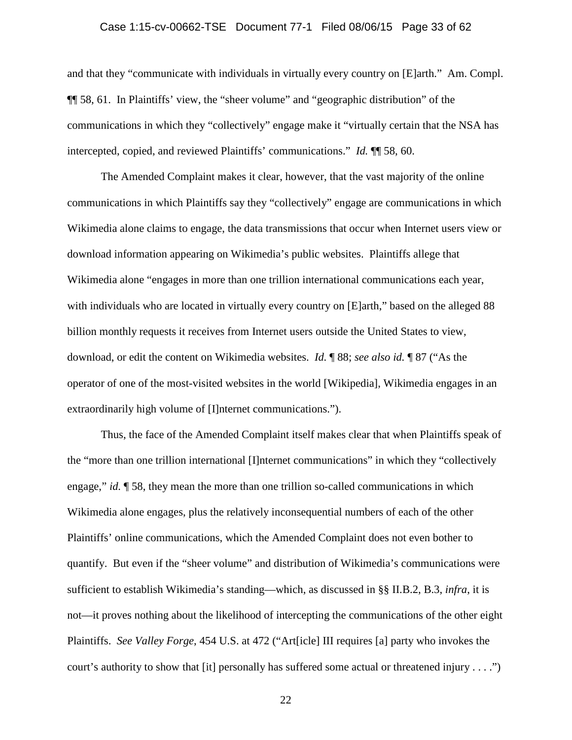## Case 1:15-cv-00662-TSE Document 77-1 Filed 08/06/15 Page 33 of 62

and that they "communicate with individuals in virtually every country on [E]arth." Am. Compl. ¶¶ 58, 61. In Plaintiffs' view, the "sheer volume" and "geographic distribution" of the communications in which they "collectively" engage make it "virtually certain that the NSA has intercepted, copied, and reviewed Plaintiffs' communications." *Id.* ¶¶ 58, 60.

The Amended Complaint makes it clear, however, that the vast majority of the online communications in which Plaintiffs say they "collectively" engage are communications in which Wikimedia alone claims to engage, the data transmissions that occur when Internet users view or download information appearing on Wikimedia's public websites. Plaintiffs allege that Wikimedia alone "engages in more than one trillion international communications each year, with individuals who are located in virtually every country on [E]arth," based on the alleged 88 billion monthly requests it receives from Internet users outside the United States to view, download, or edit the content on Wikimedia websites. *Id.* ¶ 88; *see also id.* ¶ 87 ("As the operator of one of the most-visited websites in the world [Wikipedia], Wikimedia engages in an extraordinarily high volume of [I]nternet communications.").

Thus, the face of the Amended Complaint itself makes clear that when Plaintiffs speak of the "more than one trillion international [I]nternet communications" in which they "collectively engage," *id.* ¶ 58, they mean the more than one trillion so-called communications in which Wikimedia alone engages, plus the relatively inconsequential numbers of each of the other Plaintiffs' online communications, which the Amended Complaint does not even bother to quantify. But even if the "sheer volume" and distribution of Wikimedia's communications were sufficient to establish Wikimedia's standing—which, as discussed in §§ II.B.2, B.3, *infra*, it is not—it proves nothing about the likelihood of intercepting the communications of the other eight Plaintiffs. *See Valley Forge*, 454 U.S. at 472 ("Art[icle] III requires [a] party who invokes the court's authority to show that [it] personally has suffered some actual or threatened injury . . . .")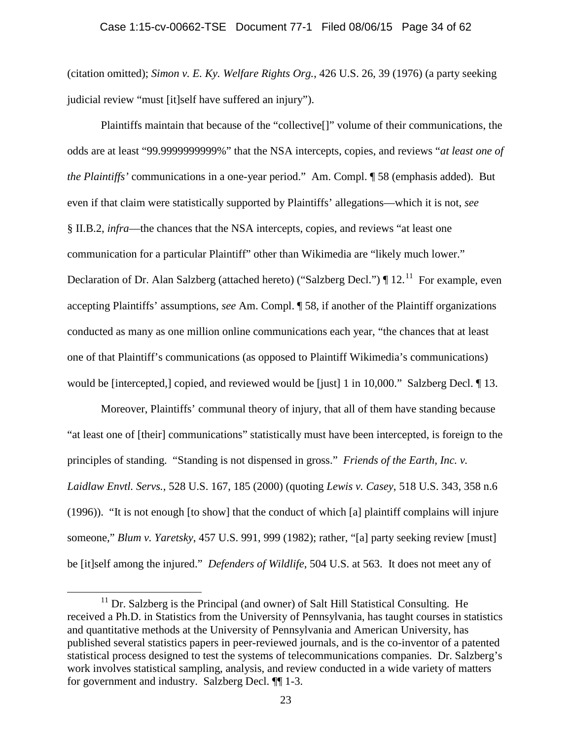(citation omitted); *Simon v. E. Ky. Welfare Rights Org.*, 426 U.S. 26, 39 (1976) (a party seeking judicial review "must [it]self have suffered an injury").

Plaintiffs maintain that because of the "collective[]" volume of their communications, the odds are at least "99.9999999999%" that the NSA intercepts, copies, and reviews "*at least one of the Plaintiffs'* communications in a one-year period." Am. Compl. ¶ 58 (emphasis added). But even if that claim were statistically supported by Plaintiffs' allegations—which it is not, *see*  § II.B.2, *infra*—the chances that the NSA intercepts, copies, and reviews "at least one communication for a particular Plaintiff" other than Wikimedia are "likely much lower." Declaration of Dr. Alan Salzberg (attached hereto) ("Salzberg Decl.")  $\P$  12.<sup>[11](#page-33-0)</sup> For example, even accepting Plaintiffs' assumptions, *see* Am. Compl. ¶ 58, if another of the Plaintiff organizations conducted as many as one million online communications each year, "the chances that at least one of that Plaintiff's communications (as opposed to Plaintiff Wikimedia's communications) would be [intercepted,] copied, and reviewed would be [just] 1 in 10,000." Salzberg Decl. ¶ 13.

Moreover, Plaintiffs' communal theory of injury, that all of them have standing because "at least one of [their] communications" statistically must have been intercepted, is foreign to the principles of standing. "Standing is not dispensed in gross." *Friends of the Earth, Inc. v. Laidlaw Envtl. Servs.*, 528 U.S. 167, 185 (2000) (quoting *Lewis v. Casey*, 518 U.S. 343, 358 n.6 (1996)). "It is not enough [to show] that the conduct of which [a] plaintiff complains will injure someone," *Blum v. Yaretsky*, 457 U.S. 991, 999 (1982); rather, "[a] party seeking review [must] be [it]self among the injured." *Defenders of Wildlife*, 504 U.S. at 563. It does not meet any of

<span id="page-33-0"></span> $11$  Dr. Salzberg is the Principal (and owner) of Salt Hill Statistical Consulting. He received a Ph.D. in Statistics from the University of Pennsylvania, has taught courses in statistics and quantitative methods at the University of Pennsylvania and American University, has published several statistics papers in peer-reviewed journals, and is the co-inventor of a patented statistical process designed to test the systems of telecommunications companies. Dr. Salzberg's work involves statistical sampling, analysis, and review conducted in a wide variety of matters for government and industry. Salzberg Decl. ¶¶ 1-3.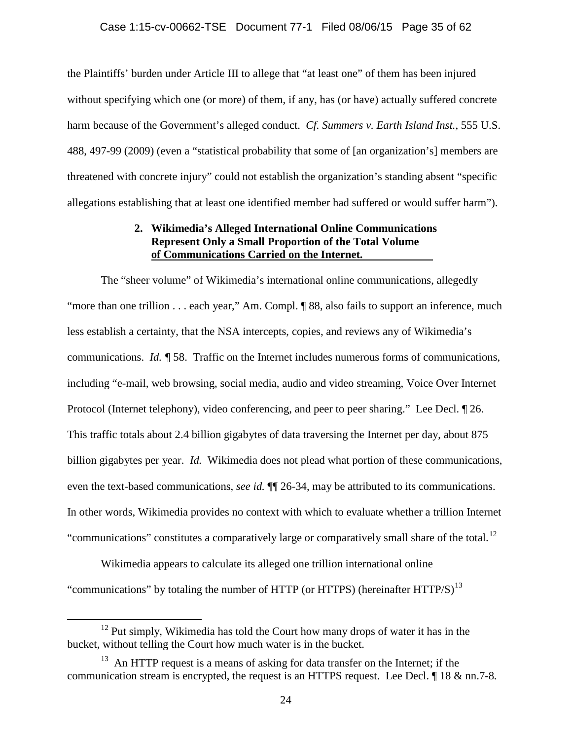the Plaintiffs' burden under Article III to allege that "at least one" of them has been injured without specifying which one (or more) of them, if any, has (or have) actually suffered concrete harm because of the Government's alleged conduct. *Cf. Summers v. Earth Island Inst.*, 555 U.S. 488, 497-99 (2009) (even a "statistical probability that some of [an organization's] members are threatened with concrete injury" could not establish the organization's standing absent "specific allegations establishing that at least one identified member had suffered or would suffer harm").

## **2. Wikimedia's Alleged International Online Communications Represent Only a Small Proportion of the Total Volume of Communications Carried on the Internet.**

The "sheer volume" of Wikimedia's international online communications, allegedly "more than one trillion . . . each year," Am. Compl.  $\sqrt{\ }$  88, also fails to support an inference, much less establish a certainty, that the NSA intercepts, copies, and reviews any of Wikimedia's communications. *Id. ¶* 58. Traffic on the Internet includes numerous forms of communications, including "e-mail, web browsing, social media, audio and video streaming, Voice Over Internet Protocol (Internet telephony), video conferencing, and peer to peer sharing." Lee Decl. ¶ 26. This traffic totals about 2.4 billion gigabytes of data traversing the Internet per day, about 875 billion gigabytes per year. *Id.* Wikimedia does not plead what portion of these communications, even the text-based communications, *see id.* ¶¶ 26-34, may be attributed to its communications. In other words, Wikimedia provides no context with which to evaluate whether a trillion Internet "communications" constitutes a comparatively large or comparatively small share of the total.<sup>12</sup>

Wikimedia appears to calculate its alleged one trillion international online "communications" by totaling the number of HTTP (or HTTPS) (hereinafter  $HTTP/S$ )<sup>[13](#page-34-1)</sup>

<span id="page-34-0"></span> $12$  Put simply, Wikimedia has told the Court how many drops of water it has in the bucket, without telling the Court how much water is in the bucket.

<span id="page-34-1"></span> $13$  An HTTP request is a means of asking for data transfer on the Internet; if the communication stream is encrypted, the request is an HTTPS request. Lee Decl. ¶ 18 & nn.7-8*.*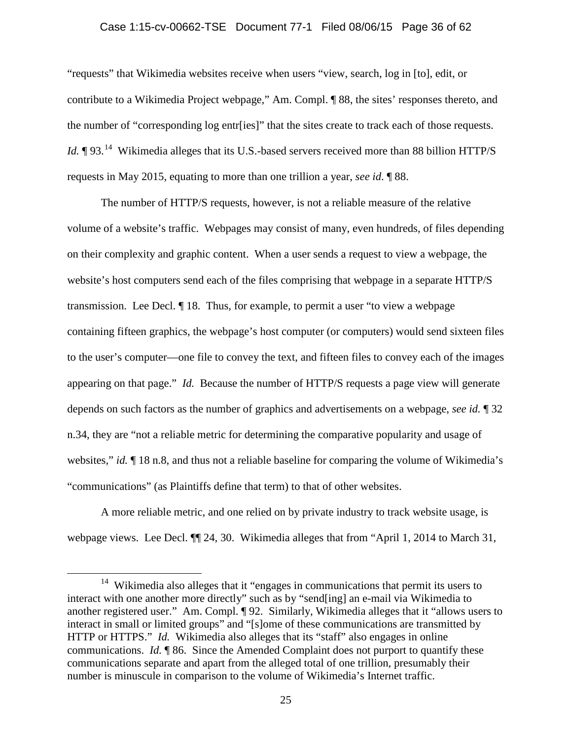## Case 1:15-cv-00662-TSE Document 77-1 Filed 08/06/15 Page 36 of 62

"requests" that Wikimedia websites receive when users "view, search, log in [to], edit, or contribute to a Wikimedia Project webpage," Am. Compl. ¶ 88, the sites' responses thereto, and the number of "corresponding log entr[ies]" that the sites create to track each of those requests. *Id.*  $\P$  93.<sup>[14](#page-35-0)</sup> Wikimedia alleges that its U.S.-based servers received more than 88 billion HTTP/S requests in May 2015, equating to more than one trillion a year, *see id*. ¶ 88.

The number of HTTP/S requests, however, is not a reliable measure of the relative volume of a website's traffic. Webpages may consist of many, even hundreds, of files depending on their complexity and graphic content. When a user sends a request to view a webpage, the website's host computers send each of the files comprising that webpage in a separate HTTP/S transmission. Lee Decl. ¶ 18. Thus, for example, to permit a user "to view a webpage containing fifteen graphics, the webpage's host computer (or computers) would send sixteen files to the user's computer—one file to convey the text, and fifteen files to convey each of the images appearing on that page." *Id.* Because the number of HTTP/S requests a page view will generate depends on such factors as the number of graphics and advertisements on a webpage, *see id.* ¶ 32 n.34, they are "not a reliable metric for determining the comparative popularity and usage of websites," *id.*  $\P$  18 n.8, and thus not a reliable baseline for comparing the volume of Wikimedia's "communications" (as Plaintiffs define that term) to that of other websites.

A more reliable metric, and one relied on by private industry to track website usage, is webpage views. Lee Decl. ¶¶ 24, 30. Wikimedia alleges that from "April 1, 2014 to March 31,

<span id="page-35-0"></span><sup>&</sup>lt;sup>14</sup> Wikimedia also alleges that it "engages in communications that permit its users to interact with one another more directly" such as by "send[ing] an e-mail via Wikimedia to another registered user." Am. Compl. ¶ 92. Similarly, Wikimedia alleges that it "allows users to interact in small or limited groups" and "[s]ome of these communications are transmitted by HTTP or HTTPS." *Id.* Wikimedia also alleges that its "staff" also engages in online communications. *Id.* ¶ 86. Since the Amended Complaint does not purport to quantify these communications separate and apart from the alleged total of one trillion, presumably their number is minuscule in comparison to the volume of Wikimedia's Internet traffic.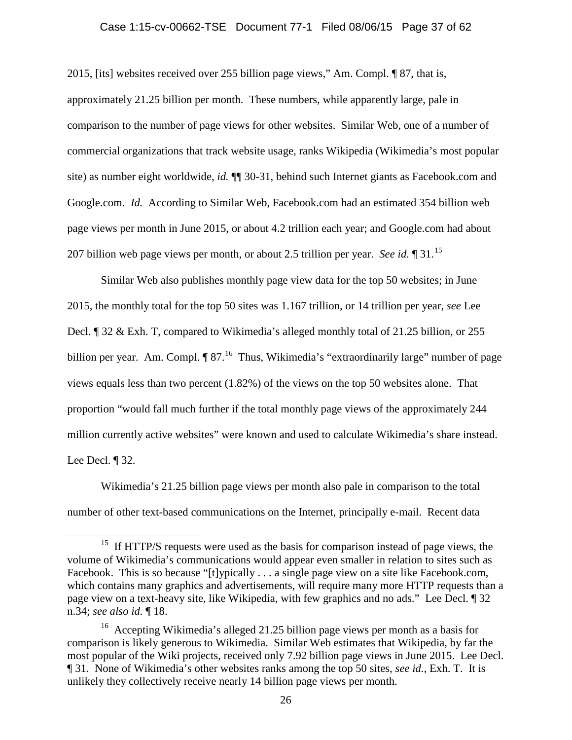## Case 1:15-cv-00662-TSE Document 77-1 Filed 08/06/15 Page 37 of 62

2015, [its] websites received over 255 billion page views," Am. Compl. ¶ 87, that is,

approximately 21.25 billion per month. These numbers, while apparently large, pale in comparison to the number of page views for other websites. Similar Web, one of a number of commercial organizations that track website usage, ranks Wikipedia (Wikimedia's most popular site) as number eight worldwide, *id.* ¶¶ 30-31, behind such Internet giants as Facebook.com and Google.com. *Id.* According to Similar Web, Facebook.com had an estimated 354 billion web page views per month in June 2015, or about 4.2 trillion each year; and Google.com had about 207 billion web page views per month, or about 2.5 trillion per year. *See id.* ¶ 31.[15](#page-36-0)

Similar Web also publishes monthly page view data for the top 50 websites; in June 2015, the monthly total for the top 50 sites was 1.167 trillion, or 14 trillion per year, *see* Lee Decl. ¶ 32 & Exh. T, compared to Wikimedia's alleged monthly total of 21.25 billion, or 255 billion per year. Am. Compl. ¶ 87.<sup>[16](#page-36-1)</sup> Thus, Wikimedia's "extraordinarily large" number of page views equals less than two percent (1.82%) of the views on the top 50 websites alone. That proportion "would fall much further if the total monthly page views of the approximately 244 million currently active websites" were known and used to calculate Wikimedia's share instead. Lee Decl. ¶ 32.

Wikimedia's 21.25 billion page views per month also pale in comparison to the total number of other text-based communications on the Internet, principally e-mail. Recent data

<span id="page-36-0"></span><sup>&</sup>lt;sup>15</sup> If HTTP/S requests were used as the basis for comparison instead of page views, the volume of Wikimedia's communications would appear even smaller in relation to sites such as Facebook. This is so because "[t]ypically . . . a single page view on a site like Facebook.com, which contains many graphics and advertisements, will require many more HTTP requests than a page view on a text-heavy site, like Wikipedia, with few graphics and no ads." Lee Decl. ¶ 32 n.34; *see also id.* ¶ 18.

<span id="page-36-1"></span><sup>16</sup> Accepting Wikimedia's alleged 21.25 billion page views per month as a basis for comparison is likely generous to Wikimedia. Similar Web estimates that Wikipedia, by far the most popular of the Wiki projects, received only 7.92 billion page views in June 2015. Lee Decl. ¶ 31. None of Wikimedia's other websites ranks among the top 50 sites, *see id.*, Exh. T. It is unlikely they collectively receive nearly 14 billion page views per month.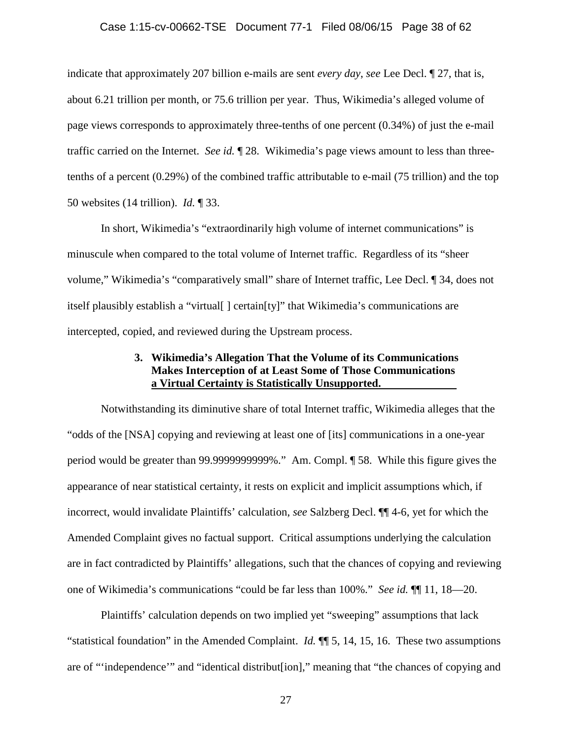#### Case 1:15-cv-00662-TSE Document 77-1 Filed 08/06/15 Page 38 of 62

indicate that approximately 207 billion e-mails are sent *every day*, *see* Lee Decl. ¶ 27, that is, about 6.21 trillion per month, or 75.6 trillion per year. Thus, Wikimedia's alleged volume of page views corresponds to approximately three-tenths of one percent (0.34%) of just the e-mail traffic carried on the Internet. *See id.* ¶ 28. Wikimedia's page views amount to less than threetenths of a percent (0.29%) of the combined traffic attributable to e-mail (75 trillion) and the top 50 websites (14 trillion). *Id.* ¶ 33.

In short, Wikimedia's "extraordinarily high volume of internet communications" is minuscule when compared to the total volume of Internet traffic. Regardless of its "sheer volume," Wikimedia's "comparatively small" share of Internet traffic, Lee Decl. ¶ 34, does not itself plausibly establish a "virtual[ ] certain[ty]" that Wikimedia's communications are intercepted, copied, and reviewed during the Upstream process.

## **3. Wikimedia's Allegation That the Volume of its Communications Makes Interception of at Least Some of Those Communications a Virtual Certainty is Statistically Unsupported.**

Notwithstanding its diminutive share of total Internet traffic, Wikimedia alleges that the "odds of the [NSA] copying and reviewing at least one of [its] communications in a one-year period would be greater than 99.9999999999%." Am. Compl. ¶ 58. While this figure gives the appearance of near statistical certainty, it rests on explicit and implicit assumptions which, if incorrect, would invalidate Plaintiffs' calculation, *see* Salzberg Decl. ¶¶ 4-6, yet for which the Amended Complaint gives no factual support. Critical assumptions underlying the calculation are in fact contradicted by Plaintiffs' allegations, such that the chances of copying and reviewing one of Wikimedia's communications "could be far less than 100%." *See id.* ¶¶ 11, 18—20.

Plaintiffs' calculation depends on two implied yet "sweeping" assumptions that lack "statistical foundation" in the Amended Complaint. *Id.* ¶¶ 5, 14, 15, 16. These two assumptions are of "'independence'" and "identical distribut[ion]," meaning that "the chances of copying and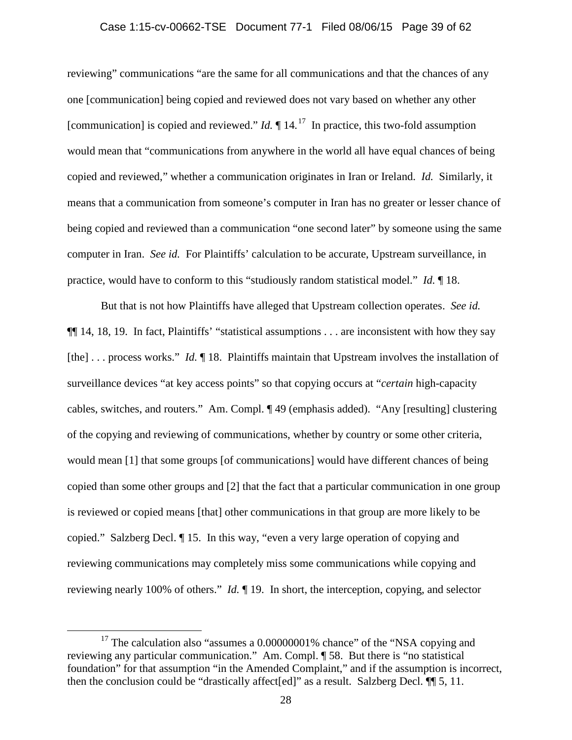#### Case 1:15-cv-00662-TSE Document 77-1 Filed 08/06/15 Page 39 of 62

reviewing" communications "are the same for all communications and that the chances of any one [communication] being copied and reviewed does not vary based on whether any other [communication] is copied and reviewed."  $Id$ .  $\P$  14.<sup>[17](#page-38-0)</sup> In practice, this two-fold assumption would mean that "communications from anywhere in the world all have equal chances of being copied and reviewed," whether a communication originates in Iran or Ireland. *Id.* Similarly, it means that a communication from someone's computer in Iran has no greater or lesser chance of being copied and reviewed than a communication "one second later" by someone using the same computer in Iran. *See id.* For Plaintiffs' calculation to be accurate, Upstream surveillance, in practice, would have to conform to this "studiously random statistical model." *Id.* ¶ 18.

But that is not how Plaintiffs have alleged that Upstream collection operates. *See id.*  ¶¶ 14, 18, 19. In fact, Plaintiffs' "statistical assumptions . . . are inconsistent with how they say [the] ... process works." *Id.*  $\P$  18. Plaintiffs maintain that Upstream involves the installation of surveillance devices "at key access points" so that copying occurs at "*certain* high-capacity cables, switches, and routers." Am. Compl. ¶ 49 (emphasis added). "Any [resulting] clustering of the copying and reviewing of communications, whether by country or some other criteria, would mean [1] that some groups [of communications] would have different chances of being copied than some other groups and [2] that the fact that a particular communication in one group is reviewed or copied means [that] other communications in that group are more likely to be copied." Salzberg Decl. ¶ 15. In this way, "even a very large operation of copying and reviewing communications may completely miss some communications while copying and reviewing nearly 100% of others." *Id.* ¶ 19. In short, the interception, copying, and selector

<span id="page-38-0"></span> $17$  The calculation also "assumes a 0.00000001% chance" of the "NSA copying and reviewing any particular communication." Am. Compl. ¶ 58. But there is "no statistical foundation" for that assumption "in the Amended Complaint," and if the assumption is incorrect, then the conclusion could be "drastically affect[ed]" as a result. Salzberg Decl. ¶¶ 5, 11.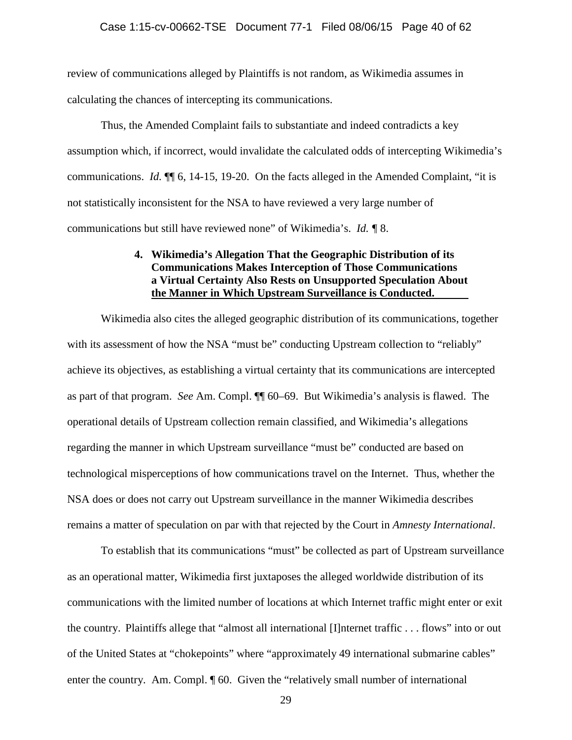review of communications alleged by Plaintiffs is not random, as Wikimedia assumes in calculating the chances of intercepting its communications.

Thus, the Amended Complaint fails to substantiate and indeed contradicts a key assumption which, if incorrect, would invalidate the calculated odds of intercepting Wikimedia's communications. *Id.* ¶¶ 6, 14-15, 19-20. On the facts alleged in the Amended Complaint, "it is not statistically inconsistent for the NSA to have reviewed a very large number of communications but still have reviewed none" of Wikimedia's. *Id. ¶* 8.

## **4. Wikimedia's Allegation That the Geographic Distribution of its Communications Makes Interception of Those Communications a Virtual Certainty Also Rests on Unsupported Speculation About the Manner in Which Upstream Surveillance is Conducted.**

Wikimedia also cites the alleged geographic distribution of its communications, together with its assessment of how the NSA "must be" conducting Upstream collection to "reliably" achieve its objectives, as establishing a virtual certainty that its communications are intercepted as part of that program. *See* Am. Compl. ¶¶ 60–69. But Wikimedia's analysis is flawed. The operational details of Upstream collection remain classified, and Wikimedia's allegations regarding the manner in which Upstream surveillance "must be" conducted are based on technological misperceptions of how communications travel on the Internet. Thus, whether the NSA does or does not carry out Upstream surveillance in the manner Wikimedia describes remains a matter of speculation on par with that rejected by the Court in *Amnesty International*.

To establish that its communications "must" be collected as part of Upstream surveillance as an operational matter, Wikimedia first juxtaposes the alleged worldwide distribution of its communications with the limited number of locations at which Internet traffic might enter or exit the country. Plaintiffs allege that "almost all international [I]nternet traffic . . . flows" into or out of the United States at "chokepoints" where "approximately 49 international submarine cables" enter the country. Am. Compl. ¶ 60. Given the "relatively small number of international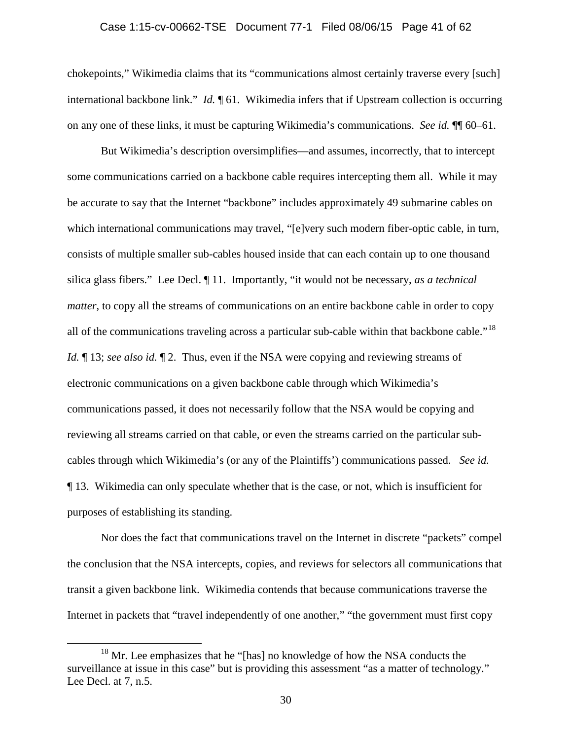## Case 1:15-cv-00662-TSE Document 77-1 Filed 08/06/15 Page 41 of 62

chokepoints," Wikimedia claims that its "communications almost certainly traverse every [such] international backbone link." *Id.* ¶ 61. Wikimedia infers that if Upstream collection is occurring on any one of these links, it must be capturing Wikimedia's communications. *See id.* ¶¶ 60–61.

But Wikimedia's description oversimplifies—and assumes, incorrectly, that to intercept some communications carried on a backbone cable requires intercepting them all. While it may be accurate to say that the Internet "backbone" includes approximately 49 submarine cables on which international communications may travel, "[e]very such modern fiber-optic cable, in turn, consists of multiple smaller sub-cables housed inside that can each contain up to one thousand silica glass fibers." Lee Decl. ¶ 11. Importantly, "it would not be necessary, *as a technical matter*, to copy all the streams of communications on an entire backbone cable in order to copy all of the communications traveling across a particular sub-cable within that backbone cable."[18](#page-40-0)  *Id.*  $\parallel$  13; *see also id.*  $\parallel$  2. Thus, even if the NSA were copying and reviewing streams of electronic communications on a given backbone cable through which Wikimedia's communications passed, it does not necessarily follow that the NSA would be copying and reviewing all streams carried on that cable, or even the streams carried on the particular subcables through which Wikimedia's (or any of the Plaintiffs') communications passed. *See id.* ¶ 13. Wikimedia can only speculate whether that is the case, or not, which is insufficient for purposes of establishing its standing.

Nor does the fact that communications travel on the Internet in discrete "packets" compel the conclusion that the NSA intercepts, copies, and reviews for selectors all communications that transit a given backbone link. Wikimedia contends that because communications traverse the Internet in packets that "travel independently of one another," "the government must first copy

<span id="page-40-0"></span><sup>&</sup>lt;sup>18</sup> Mr. Lee emphasizes that he "[has] no knowledge of how the NSA conducts the surveillance at issue in this case" but is providing this assessment "as a matter of technology." Lee Decl. at 7, n.5.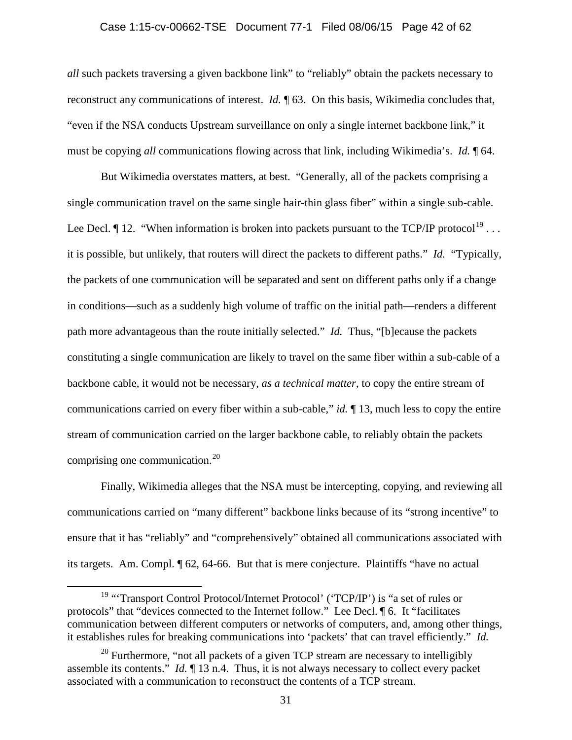## Case 1:15-cv-00662-TSE Document 77-1 Filed 08/06/15 Page 42 of 62

*all* such packets traversing a given backbone link" to "reliably" obtain the packets necessary to reconstruct any communications of interest. *Id.* ¶ 63. On this basis, Wikimedia concludes that, "even if the NSA conducts Upstream surveillance on only a single internet backbone link," it must be copying *all* communications flowing across that link, including Wikimedia's. *Id.* ¶ 64.

But Wikimedia overstates matters, at best. "Generally, all of the packets comprising a single communication travel on the same single hair-thin glass fiber" within a single sub-cable. Lee Decl.  $\P$  12. "When information is broken into packets pursuant to the TCP/IP protocol<sup>[19](#page-41-0)</sup>... it is possible, but unlikely, that routers will direct the packets to different paths." *Id.* "Typically, the packets of one communication will be separated and sent on different paths only if a change in conditions—such as a suddenly high volume of traffic on the initial path—renders a different path more advantageous than the route initially selected." *Id.* Thus, "[b]ecause the packets constituting a single communication are likely to travel on the same fiber within a sub-cable of a backbone cable, it would not be necessary, *as a technical matter*, to copy the entire stream of communications carried on every fiber within a sub-cable," *id.* ¶ 13, much less to copy the entire stream of communication carried on the larger backbone cable, to reliably obtain the packets comprising one communication. $^{20}$ 

Finally, Wikimedia alleges that the NSA must be intercepting, copying, and reviewing all communications carried on "many different" backbone links because of its "strong incentive" to ensure that it has "reliably" and "comprehensively" obtained all communications associated with its targets. Am. Compl. ¶ 62, 64-66. But that is mere conjecture. Plaintiffs "have no actual

<span id="page-41-0"></span><sup>&</sup>lt;sup>19</sup> "Transport Control Protocol/Internet Protocol' ('TCP/IP') is "a set of rules or protocols" that "devices connected to the Internet follow." Lee Decl. ¶ 6. It "facilitates communication between different computers or networks of computers, and, among other things, it establishes rules for breaking communications into 'packets' that can travel efficiently." *Id.*

<span id="page-41-1"></span> $20$  Furthermore, "not all packets of a given TCP stream are necessary to intelligibly assemble its contents." *Id.* ¶ 13 n.4. Thus, it is not always necessary to collect every packet associated with a communication to reconstruct the contents of a TCP stream.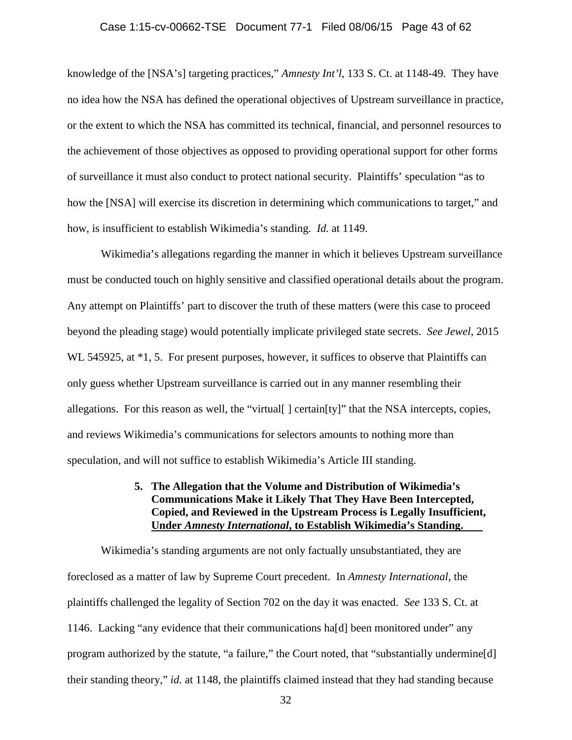#### Case 1:15-cv-00662-TSE Document 77-1 Filed 08/06/15 Page 43 of 62

knowledge of the [NSA's] targeting practices," *Amnesty Int'l*, 133 S. Ct. at 1148-49. They have no idea how the NSA has defined the operational objectives of Upstream surveillance in practice, or the extent to which the NSA has committed its technical, financial, and personnel resources to the achievement of those objectives as opposed to providing operational support for other forms of surveillance it must also conduct to protect national security. Plaintiffs' speculation "as to how the [NSA] will exercise its discretion in determining which communications to target," and how, is insufficient to establish Wikimedia's standing. *Id.* at 1149.

Wikimedia's allegations regarding the manner in which it believes Upstream surveillance must be conducted touch on highly sensitive and classified operational details about the program. Any attempt on Plaintiffs' part to discover the truth of these matters (were this case to proceed beyond the pleading stage) would potentially implicate privileged state secrets. *See Jewel*, 2015 WL 545925, at  $*1$ , 5. For present purposes, however, it suffices to observe that Plaintiffs can only guess whether Upstream surveillance is carried out in any manner resembling their allegations. For this reason as well, the "virtual[ ] certain[ty]" that the NSA intercepts, copies, and reviews Wikimedia's communications for selectors amounts to nothing more than speculation, and will not suffice to establish Wikimedia's Article III standing.

## **5. The Allegation that the Volume and Distribution of Wikimedia's Communications Make it Likely That They Have Been Intercepted, Copied, and Reviewed in the Upstream Process is Legally Insufficient, Under** *Amnesty International***, to Establish Wikimedia's Standing.**

Wikimedia's standing arguments are not only factually unsubstantiated, they are foreclosed as a matter of law by Supreme Court precedent. In *Amnesty International*, the plaintiffs challenged the legality of Section 702 on the day it was enacted. *See* 133 S. Ct. at 1146. Lacking "any evidence that their communications ha[d] been monitored under" any program authorized by the statute, "a failure," the Court noted, that "substantially undermine[d] their standing theory," *id.* at 1148, the plaintiffs claimed instead that they had standing because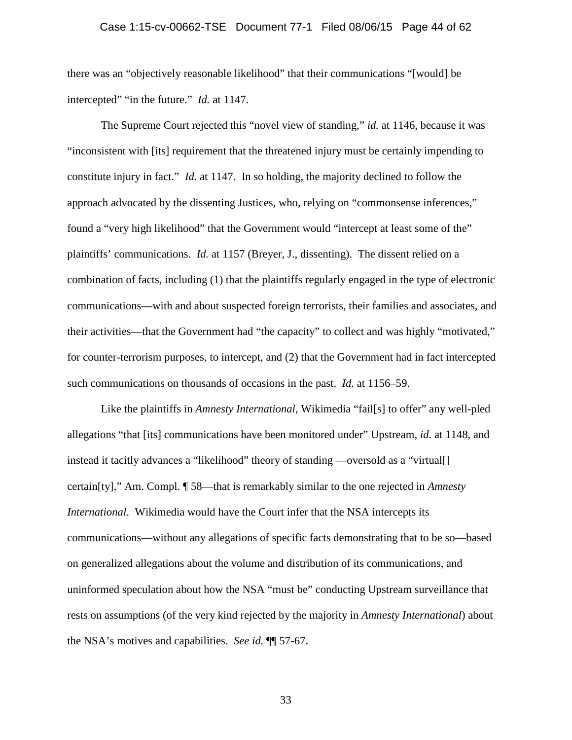there was an "objectively reasonable likelihood" that their communications "[would] be intercepted" "in the future." *Id.* at 1147.

The Supreme Court rejected this "novel view of standing," *id.* at 1146, because it was "inconsistent with [its] requirement that the threatened injury must be certainly impending to constitute injury in fact." *Id.* at 1147. In so holding, the majority declined to follow the approach advocated by the dissenting Justices, who, relying on "commonsense inferences," found a "very high likelihood" that the Government would "intercept at least some of the" plaintiffs' communications. *Id.* at 1157 (Breyer, J., dissenting). The dissent relied on a combination of facts, including (1) that the plaintiffs regularly engaged in the type of electronic communications—with and about suspected foreign terrorists, their families and associates, and their activities—that the Government had "the capacity" to collect and was highly "motivated," for counter-terrorism purposes, to intercept, and (2) that the Government had in fact intercepted such communications on thousands of occasions in the past. *Id.* at 1156–59.

Like the plaintiffs in *Amnesty International*, Wikimedia "fail[s] to offer" any well-pled allegations "that [its] communications have been monitored under" Upstream, *id.* at 1148, and instead it tacitly advances a "likelihood" theory of standing —oversold as a "virtual[] certain[ty]," Am. Compl. ¶ 58—that is remarkably similar to the one rejected in *Amnesty International*. Wikimedia would have the Court infer that the NSA intercepts its communications—without any allegations of specific facts demonstrating that to be so—based on generalized allegations about the volume and distribution of its communications, and uninformed speculation about how the NSA "must be" conducting Upstream surveillance that rests on assumptions (of the very kind rejected by the majority in *Amnesty International*) about the NSA's motives and capabilities. *See id.* ¶¶ 57-67.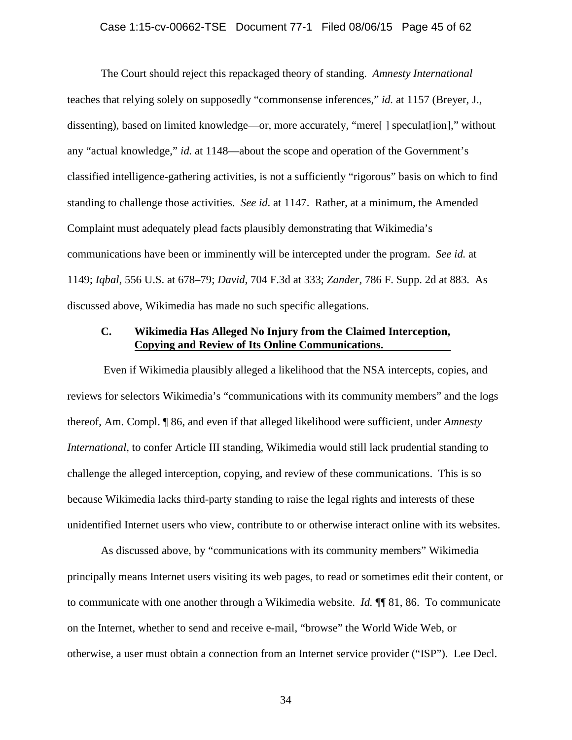## Case 1:15-cv-00662-TSE Document 77-1 Filed 08/06/15 Page 45 of 62

The Court should reject this repackaged theory of standing. *Amnesty International*  teaches that relying solely on supposedly "commonsense inferences," *id.* at 1157 (Breyer, J., dissenting), based on limited knowledge—or, more accurately, "mere[ ] speculat[ion]," without any "actual knowledge," *id.* at 1148—about the scope and operation of the Government's classified intelligence-gathering activities, is not a sufficiently "rigorous" basis on which to find standing to challenge those activities. *See id*. at 1147. Rather, at a minimum, the Amended Complaint must adequately plead facts plausibly demonstrating that Wikimedia's communications have been or imminently will be intercepted under the program. *See id.* at 1149; *Iqbal*, 556 U.S. at 678–79; *David*, 704 F.3d at 333; *Zander*, 786 F. Supp. 2d at 883. As discussed above, Wikimedia has made no such specific allegations.

## **C. Wikimedia Has Alleged No Injury from the Claimed Interception, Copying and Review of Its Online Communications.**

Even if Wikimedia plausibly alleged a likelihood that the NSA intercepts, copies, and reviews for selectors Wikimedia's "communications with its community members" and the logs thereof, Am. Compl. ¶ 86, and even if that alleged likelihood were sufficient, under *Amnesty International*, to confer Article III standing, Wikimedia would still lack prudential standing to challenge the alleged interception, copying, and review of these communications. This is so because Wikimedia lacks third-party standing to raise the legal rights and interests of these unidentified Internet users who view, contribute to or otherwise interact online with its websites.

As discussed above, by "communications with its community members" Wikimedia principally means Internet users visiting its web pages, to read or sometimes edit their content, or to communicate with one another through a Wikimedia website. *Id.* ¶¶ 81, 86. To communicate on the Internet, whether to send and receive e-mail, "browse" the World Wide Web, or otherwise, a user must obtain a connection from an Internet service provider ("ISP"). Lee Decl.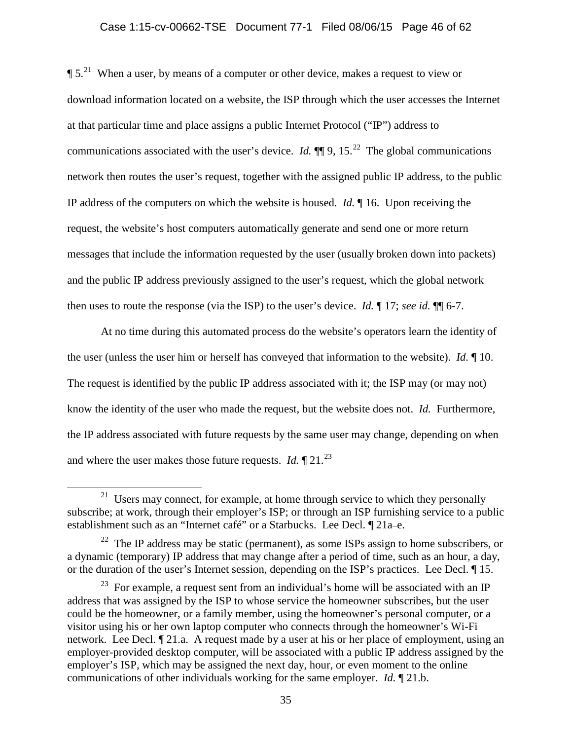## Case 1:15-cv-00662-TSE Document 77-1 Filed 08/06/15 Page 46 of 62

 $\P 5$ <sup>[21](#page-45-0)</sup> When a user, by means of a computer or other device, makes a request to view or download information located on a website, the ISP through which the user accesses the Internet at that particular time and place assigns a public Internet Protocol ("IP") address to communications associated with the user's device. *Id.*  $\P\P$  9, 15.<sup>[22](#page-45-1)</sup> The global communications network then routes the user's request, together with the assigned public IP address, to the public IP address of the computers on which the website is housed. *Id.* ¶ 16. Upon receiving the request, the website's host computers automatically generate and send one or more return messages that include the information requested by the user (usually broken down into packets) and the public IP address previously assigned to the user's request, which the global network then uses to route the response (via the ISP) to the user's device. *Id.* ¶ 17; *see id.* ¶¶ 6-7.

At no time during this automated process do the website's operators learn the identity of the user (unless the user him or herself has conveyed that information to the website). *Id.* ¶ 10. The request is identified by the public IP address associated with it; the ISP may (or may not) know the identity of the user who made the request, but the website does not. *Id.* Furthermore, the IP address associated with future requests by the same user may change, depending on when and where the user makes those future requests. *Id.*  $\sqrt{21}$  21.<sup>[23](#page-45-2)</sup>

<span id="page-45-0"></span> $21$  Users may connect, for example, at home through service to which they personally subscribe; at work, through their employer's ISP; or through an ISP furnishing service to a public establishment such as an "Internet café" or a Starbucks. Lee Decl. ¶ 21a–e.

<span id="page-45-1"></span> $22$  The IP address may be static (permanent), as some ISPs assign to home subscribers, or a dynamic (temporary) IP address that may change after a period of time, such as an hour, a day, or the duration of the user's Internet session, depending on the ISP's practices. Lee Decl. ¶ 15.

<span id="page-45-2"></span> $23$  For example, a request sent from an individual's home will be associated with an IP address that was assigned by the ISP to whose service the homeowner subscribes, but the user could be the homeowner, or a family member, using the homeowner's personal computer, or a visitor using his or her own laptop computer who connects through the homeowner's Wi-Fi network. Lee Decl. ¶ 21.a. A request made by a user at his or her place of employment, using an employer-provided desktop computer, will be associated with a public IP address assigned by the employer's ISP, which may be assigned the next day, hour, or even moment to the online communications of other individuals working for the same employer. *Id.* ¶ 21.b.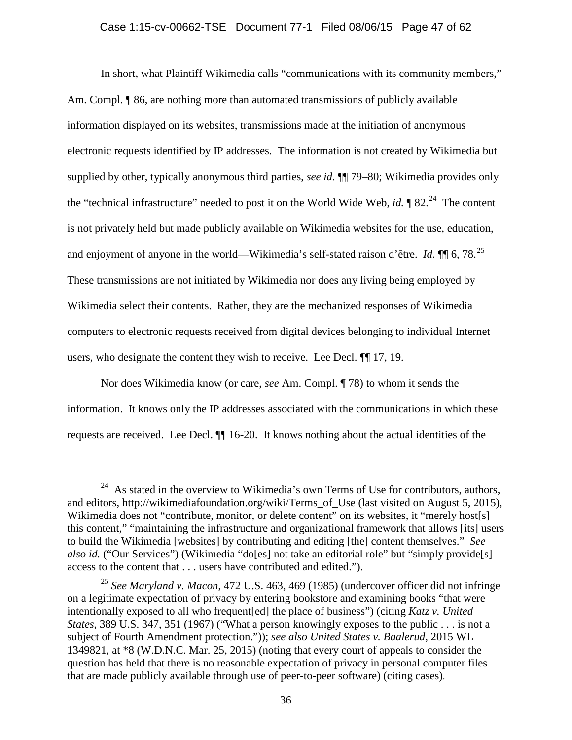## Case 1:15-cv-00662-TSE Document 77-1 Filed 08/06/15 Page 47 of 62

In short, what Plaintiff Wikimedia calls "communications with its community members," Am. Compl. ¶ 86, are nothing more than automated transmissions of publicly available information displayed on its websites, transmissions made at the initiation of anonymous electronic requests identified by IP addresses. The information is not created by Wikimedia but supplied by other, typically anonymous third parties, *see id.* ¶¶ 79–80; Wikimedia provides only the "technical infrastructure" needed to post it on the World Wide Web, *id.*  $\sqrt{82}$ <sup>24</sup> The content is not privately held but made publicly available on Wikimedia websites for the use, education, and enjoyment of anyone in the world—Wikimedia's self-stated raison d'être. *Id.* ¶ 6, 78.<sup>25</sup> These transmissions are not initiated by Wikimedia nor does any living being employed by Wikimedia select their contents. Rather, they are the mechanized responses of Wikimedia computers to electronic requests received from digital devices belonging to individual Internet users, who designate the content they wish to receive. Lee Decl. ¶¶ 17, 19.

Nor does Wikimedia know (or care, *see* Am. Compl. ¶ 78) to whom it sends the information. It knows only the IP addresses associated with the communications in which these requests are received. Lee Decl. ¶¶ 16-20. It knows nothing about the actual identities of the

<span id="page-46-0"></span> $24$  As stated in the overview to Wikimedia's own Terms of Use for contributors, authors, and editors, http://wikimediafoundation.org/wiki/Terms\_of\_Use (last visited on August 5, 2015), Wikimedia does not "contribute, monitor, or delete content" on its websites, it "merely host[s] this content," "maintaining the infrastructure and organizational framework that allows [its] users to build the Wikimedia [websites] by contributing and editing [the] content themselves." *See also id.* ("Our Services") (Wikimedia "do[es] not take an editorial role" but "simply provide[s] access to the content that . . . users have contributed and edited.").

<span id="page-46-1"></span><sup>25</sup> *See Maryland v. Macon*, 472 U.S. 463, 469 (1985) (undercover officer did not infringe on a legitimate expectation of privacy by entering bookstore and examining books "that were intentionally exposed to all who frequent[ed] the place of business") (citing *Katz v. United States*, 389 U.S. 347, 351 (1967) ("What a person knowingly exposes to the public . . . is not a subject of Fourth Amendment protection.")); *see also United States v. Baalerud*, 2015 WL 1349821, at \*8 (W.D.N.C. Mar. 25, 2015) (noting that every court of appeals to consider the question has held that there is no reasonable expectation of privacy in personal computer files that are made publicly available through use of peer-to-peer software) (citing cases).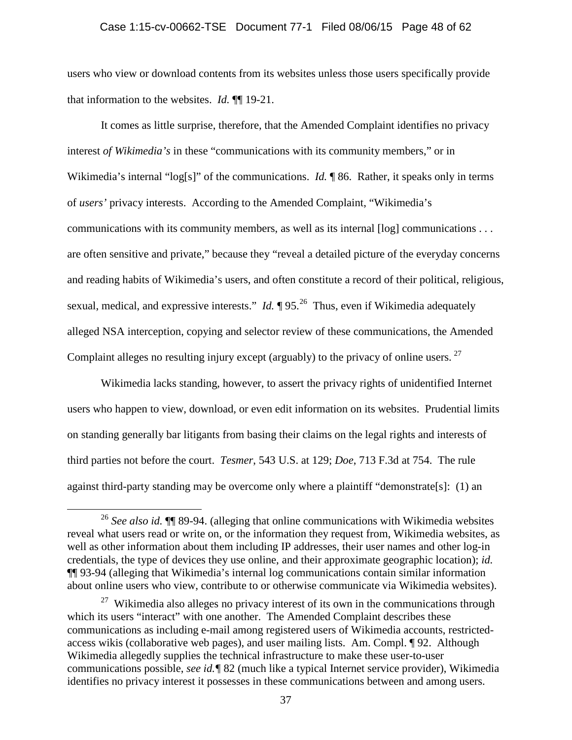## Case 1:15-cv-00662-TSE Document 77-1 Filed 08/06/15 Page 48 of 62

users who view or download contents from its websites unless those users specifically provide that information to the websites. *Id.* ¶¶ 19-21.

It comes as little surprise, therefore, that the Amended Complaint identifies no privacy interest *of Wikimedia's* in these "communications with its community members," or in Wikimedia's internal "log[s]" of the communications. *Id.* 186. Rather, it speaks only in terms of *users'* privacy interests. According to the Amended Complaint, "Wikimedia's communications with its community members, as well as its internal [log] communications . . . are often sensitive and private," because they "reveal a detailed picture of the everyday concerns and reading habits of Wikimedia's users, and often constitute a record of their political, religious, sexual, medical, and expressive interests." *Id.*  $\sqrt{95}$  <sup>[26](#page-47-0)</sup> Thus, even if Wikimedia adequately alleged NSA interception, copying and selector review of these communications, the Amended Complaint alleges no resulting injury except (arguably) to the privacy of online users.  $27$ 

Wikimedia lacks standing, however, to assert the privacy rights of unidentified Internet users who happen to view, download, or even edit information on its websites. Prudential limits on standing generally bar litigants from basing their claims on the legal rights and interests of third parties not before the court. *Tesmer*, 543 U.S. at 129; *Doe*, 713 F.3d at 754. The rule against third-party standing may be overcome only where a plaintiff "demonstrate[s]: (1) an

<span id="page-47-0"></span> <sup>26</sup> *See also id.* ¶¶ 89-94. (alleging that online communications with Wikimedia websites reveal what users read or write on, or the information they request from, Wikimedia websites, as well as other information about them including IP addresses, their user names and other log-in credentials, the type of devices they use online, and their approximate geographic location); *id.*  ¶¶ 93-94 (alleging that Wikimedia's internal log communications contain similar information about online users who view, contribute to or otherwise communicate via Wikimedia websites).

<span id="page-47-1"></span> $27$  Wikimedia also alleges no privacy interest of its own in the communications through which its users "interact" with one another. The Amended Complaint describes these communications as including e-mail among registered users of Wikimedia accounts, restrictedaccess wikis (collaborative web pages), and user mailing lists. Am. Compl. ¶ 92. Although Wikimedia allegedly supplies the technical infrastructure to make these user-to-user communications possible, *see id.¶* 82 (much like a typical Internet service provider), Wikimedia identifies no privacy interest it possesses in these communications between and among users.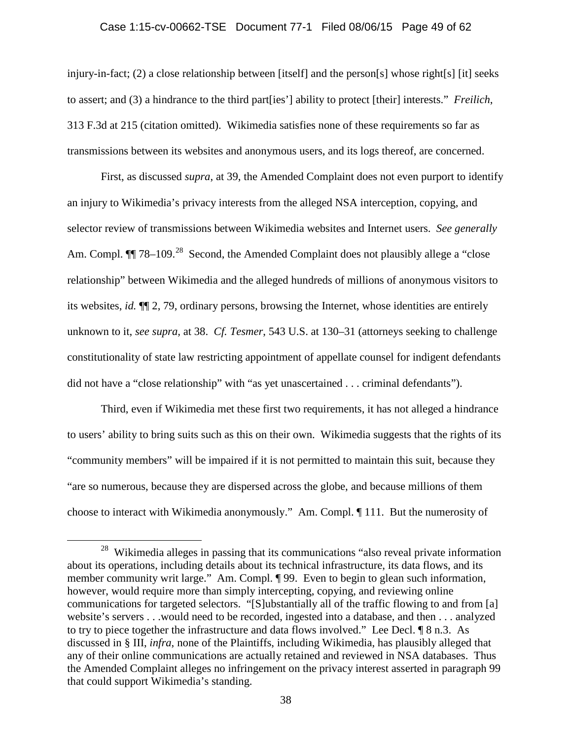## Case 1:15-cv-00662-TSE Document 77-1 Filed 08/06/15 Page 49 of 62

injury-in-fact; (2) a close relationship between [itself] and the person[s] whose right[s] [it] seeks to assert; and (3) a hindrance to the third part[ies'] ability to protect [their] interests." *Freilich*, 313 F.3d at 215 (citation omitted). Wikimedia satisfies none of these requirements so far as transmissions between its websites and anonymous users, and its logs thereof, are concerned.

First, as discussed *supra*, at 39, the Amended Complaint does not even purport to identify an injury to Wikimedia's privacy interests from the alleged NSA interception, copying, and selector review of transmissions between Wikimedia websites and Internet users. *See generally*  Am. Compl.  $\P$  78–109<sup>[28](#page-48-0)</sup> Second, the Amended Complaint does not plausibly allege a "close" relationship" between Wikimedia and the alleged hundreds of millions of anonymous visitors to its websites, *id.* ¶¶ 2, 79, ordinary persons, browsing the Internet, whose identities are entirely unknown to it, *see supra,* at 38. *Cf. Tesmer*, 543 U.S. at 130–31 (attorneys seeking to challenge constitutionality of state law restricting appointment of appellate counsel for indigent defendants did not have a "close relationship" with "as yet unascertained . . . criminal defendants").

Third, even if Wikimedia met these first two requirements, it has not alleged a hindrance to users' ability to bring suits such as this on their own. Wikimedia suggests that the rights of its "community members" will be impaired if it is not permitted to maintain this suit, because they "are so numerous, because they are dispersed across the globe, and because millions of them choose to interact with Wikimedia anonymously." Am. Compl. ¶ 111. But the numerosity of

<span id="page-48-0"></span><sup>&</sup>lt;sup>28</sup> Wikimedia alleges in passing that its communications "also reveal private information about its operations, including details about its technical infrastructure, its data flows, and its member community writ large." Am. Compl. ¶ 99. Even to begin to glean such information, however, would require more than simply intercepting, copying, and reviewing online communications for targeted selectors. "[S]ubstantially all of the traffic flowing to and from [a] website's servers . . .would need to be recorded, ingested into a database, and then . . . analyzed to try to piece together the infrastructure and data flows involved." Lee Decl. ¶ 8 n.3. As discussed in § III, *infra*, none of the Plaintiffs, including Wikimedia, has plausibly alleged that any of their online communications are actually retained and reviewed in NSA databases. Thus the Amended Complaint alleges no infringement on the privacy interest asserted in paragraph 99 that could support Wikimedia's standing.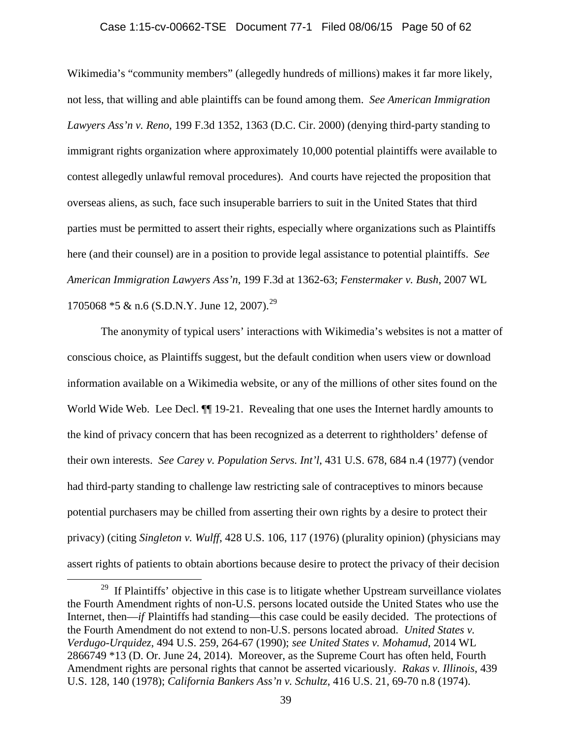## Case 1:15-cv-00662-TSE Document 77-1 Filed 08/06/15 Page 50 of 62

Wikimedia's "community members" (allegedly hundreds of millions) makes it far more likely, not less, that willing and able plaintiffs can be found among them. *See American Immigration Lawyers Ass'n v. Reno*, 199 F.3d 1352, 1363 (D.C. Cir. 2000) (denying third-party standing to immigrant rights organization where approximately 10,000 potential plaintiffs were available to contest allegedly unlawful removal procedures). And courts have rejected the proposition that overseas aliens, as such, face such insuperable barriers to suit in the United States that third parties must be permitted to assert their rights, especially where organizations such as Plaintiffs here (and their counsel) are in a position to provide legal assistance to potential plaintiffs. *See American Immigration Lawyers Ass'n*, 199 F.3d at 1362-63; *Fenstermaker v. Bush*, 2007 WL 1705068  $*5 \& n.6$  (S.D.N.Y. June 12, 2007).<sup>29</sup>

The anonymity of typical users' interactions with Wikimedia's websites is not a matter of conscious choice, as Plaintiffs suggest, but the default condition when users view or download information available on a Wikimedia website, or any of the millions of other sites found on the World Wide Web. Lee Decl.  $\P$  19-21. Revealing that one uses the Internet hardly amounts to the kind of privacy concern that has been recognized as a deterrent to rightholders' defense of their own interests. *See Carey v. Population Servs. Int'l*, 431 U.S. 678, 684 n.4 (1977) (vendor had third-party standing to challenge law restricting sale of contraceptives to minors because potential purchasers may be chilled from asserting their own rights by a desire to protect their privacy) (citing *Singleton v. Wulff*, 428 U.S. 106, 117 (1976) (plurality opinion) (physicians may assert rights of patients to obtain abortions because desire to protect the privacy of their decision

<span id="page-49-0"></span><sup>&</sup>lt;sup>29</sup> If Plaintiffs' objective in this case is to litigate whether Upstream surveillance violates the Fourth Amendment rights of non-U.S. persons located outside the United States who use the Internet, then—*if* Plaintiffs had standing—this case could be easily decided. The protections of the Fourth Amendment do not extend to non-U.S. persons located abroad. *United States v. Verdugo-Urquidez*, 494 U.S. 259, 264-67 (1990); *see United States v. Mohamud*, 2014 WL 2866749 \*13 (D. Or. June 24, 2014). Moreover, as the Supreme Court has often held, Fourth Amendment rights are personal rights that cannot be asserted vicariously. *Rakas v. Illinois*, 439 U.S. 128, 140 (1978); *California Bankers Ass'n v. Schultz*, 416 U.S. 21, 69-70 n.8 (1974).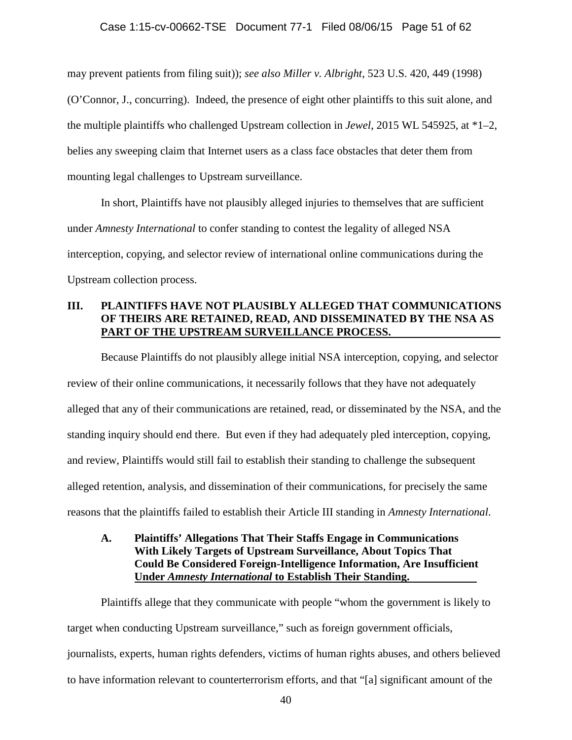#### Case 1:15-cv-00662-TSE Document 77-1 Filed 08/06/15 Page 51 of 62

may prevent patients from filing suit)); *see also Miller v. Albright*, 523 U.S. 420, 449 (1998) (O'Connor, J., concurring). Indeed, the presence of eight other plaintiffs to this suit alone, and the multiple plaintiffs who challenged Upstream collection in *Jewel*, 2015 WL 545925, at \*1–2, belies any sweeping claim that Internet users as a class face obstacles that deter them from mounting legal challenges to Upstream surveillance.

In short, Plaintiffs have not plausibly alleged injuries to themselves that are sufficient under *Amnesty International* to confer standing to contest the legality of alleged NSA interception, copying, and selector review of international online communications during the Upstream collection process.

## **III. PLAINTIFFS HAVE NOT PLAUSIBLY ALLEGED THAT COMMUNICATIONS OF THEIRS ARE RETAINED, READ, AND DISSEMINATED BY THE NSA AS PART OF THE UPSTREAM SURVEILLANCE PROCESS.**

Because Plaintiffs do not plausibly allege initial NSA interception, copying, and selector review of their online communications, it necessarily follows that they have not adequately alleged that any of their communications are retained, read, or disseminated by the NSA, and the standing inquiry should end there. But even if they had adequately pled interception, copying, and review, Plaintiffs would still fail to establish their standing to challenge the subsequent alleged retention, analysis, and dissemination of their communications, for precisely the same reasons that the plaintiffs failed to establish their Article III standing in *Amnesty International*.

**A. Plaintiffs' Allegations That Their Staffs Engage in Communications With Likely Targets of Upstream Surveillance, About Topics That Could Be Considered Foreign-Intelligence Information, Are Insufficient Under** *Amnesty International* **to Establish Their Standing.** 

Plaintiffs allege that they communicate with people "whom the government is likely to target when conducting Upstream surveillance," such as foreign government officials, journalists, experts, human rights defenders, victims of human rights abuses, and others believed to have information relevant to counterterrorism efforts, and that "[a] significant amount of the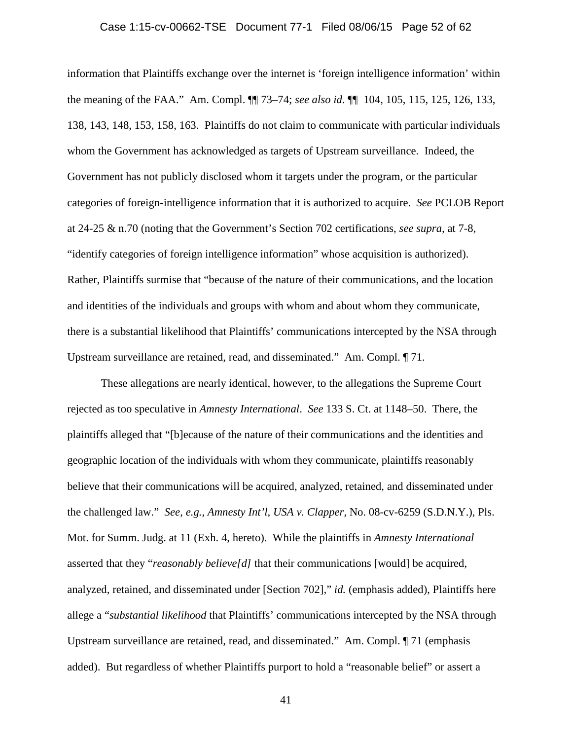information that Plaintiffs exchange over the internet is 'foreign intelligence information' within the meaning of the FAA." Am. Compl. ¶¶ 73–74; *see also id.* ¶¶ 104, 105, 115, 125, 126, 133, 138, 143, 148, 153, 158, 163. Plaintiffs do not claim to communicate with particular individuals whom the Government has acknowledged as targets of Upstream surveillance. Indeed, the Government has not publicly disclosed whom it targets under the program, or the particular categories of foreign-intelligence information that it is authorized to acquire. *See* PCLOB Report at 24-25 & n.70 (noting that the Government's Section 702 certifications, *see supra,* at 7-8, "identify categories of foreign intelligence information" whose acquisition is authorized). Rather, Plaintiffs surmise that "because of the nature of their communications, and the location and identities of the individuals and groups with whom and about whom they communicate, there is a substantial likelihood that Plaintiffs' communications intercepted by the NSA through Upstream surveillance are retained, read, and disseminated." Am. Compl. ¶ 71.

These allegations are nearly identical, however, to the allegations the Supreme Court rejected as too speculative in *Amnesty International*. *See* 133 S. Ct. at 1148–50. There, the plaintiffs alleged that "[b]ecause of the nature of their communications and the identities and geographic location of the individuals with whom they communicate, plaintiffs reasonably believe that their communications will be acquired, analyzed, retained, and disseminated under the challenged law." *See, e.g.*, *Amnesty Int'l, USA v. Clapper*, No. 08-cv-6259 (S.D.N.Y.), Pls. Mot. for Summ. Judg. at 11 (Exh. 4, hereto). While the plaintiffs in *Amnesty International*  asserted that they "*reasonably believe[d]* that their communications [would] be acquired, analyzed, retained, and disseminated under [Section 702]," *id.* (emphasis added), Plaintiffs here allege a "*substantial likelihood* that Plaintiffs' communications intercepted by the NSA through Upstream surveillance are retained, read, and disseminated." Am. Compl. ¶ 71 (emphasis added). But regardless of whether Plaintiffs purport to hold a "reasonable belief" or assert a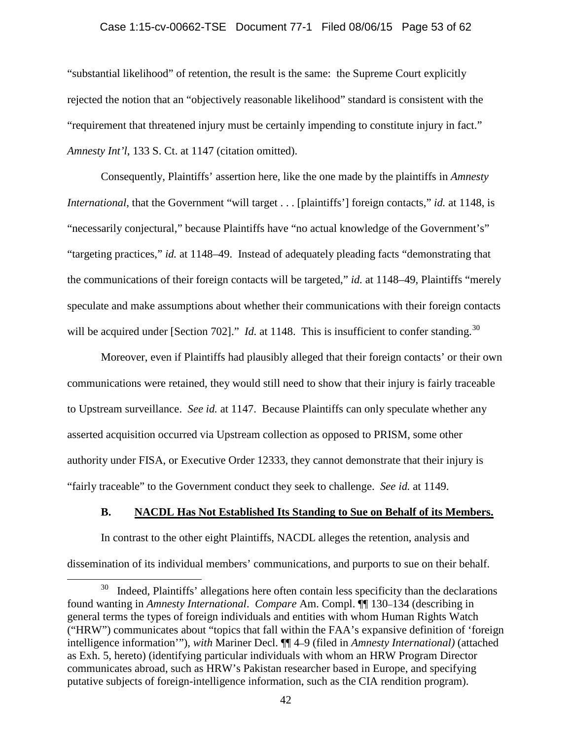## Case 1:15-cv-00662-TSE Document 77-1 Filed 08/06/15 Page 53 of 62

"substantial likelihood" of retention, the result is the same: the Supreme Court explicitly rejected the notion that an "objectively reasonable likelihood" standard is consistent with the "requirement that threatened injury must be certainly impending to constitute injury in fact." *Amnesty Int'l*, 133 S. Ct. at 1147 (citation omitted).

Consequently, Plaintiffs' assertion here, like the one made by the plaintiffs in *Amnesty International*, that the Government "will target . . . [plaintiffs'] foreign contacts," *id.* at 1148, is "necessarily conjectural," because Plaintiffs have "no actual knowledge of the Government's" "targeting practices," *id.* at 1148–49. Instead of adequately pleading facts "demonstrating that the communications of their foreign contacts will be targeted," *id.* at 1148–49, Plaintiffs "merely speculate and make assumptions about whether their communications with their foreign contacts will be acquired under [Section 702]." *Id.* at 1148. This is insufficient to confer standing.<sup>[30](#page-52-0)</sup>

Moreover, even if Plaintiffs had plausibly alleged that their foreign contacts' or their own communications were retained, they would still need to show that their injury is fairly traceable to Upstream surveillance. *See id.* at 1147. Because Plaintiffs can only speculate whether any asserted acquisition occurred via Upstream collection as opposed to PRISM, some other authority under FISA, or Executive Order 12333, they cannot demonstrate that their injury is "fairly traceable" to the Government conduct they seek to challenge. *See id.* at 1149.

### **B. NACDL Has Not Established Its Standing to Sue on Behalf of its Members.**

In contrast to the other eight Plaintiffs, NACDL alleges the retention, analysis and dissemination of its individual members' communications, and purports to sue on their behalf.

<span id="page-52-0"></span>Indeed, Plaintiffs' allegations here often contain less specificity than the declarations found wanting in *Amnesty International*. *Compare* Am. Compl. ¶¶ 130–134 (describing in general terms the types of foreign individuals and entities with whom Human Rights Watch ("HRW") communicates about "topics that fall within the FAA's expansive definition of 'foreign intelligence information'"), *with* Mariner Decl. ¶¶ 4–9 (filed in *Amnesty International)* (attached as Exh. 5, hereto) (identifying particular individuals with whom an HRW Program Director communicates abroad, such as HRW's Pakistan researcher based in Europe, and specifying putative subjects of foreign-intelligence information, such as the CIA rendition program).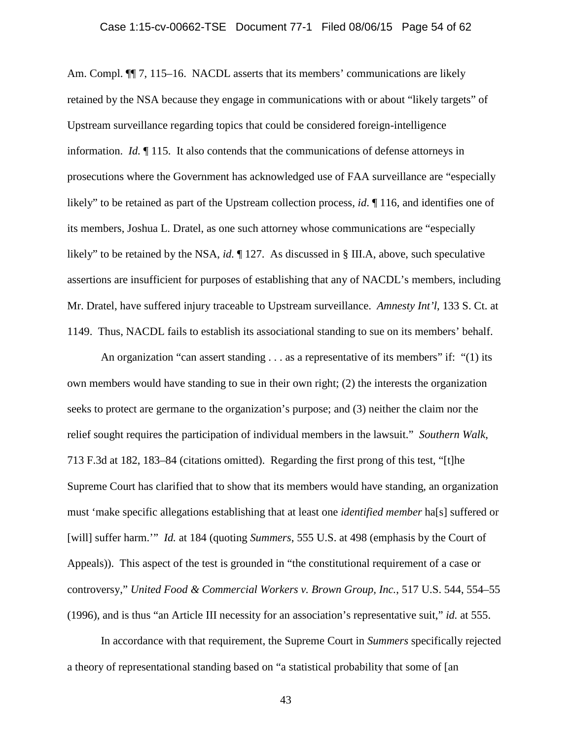Am. Compl.  $\P$ [ 7, 115–16. NACDL asserts that its members' communications are likely retained by the NSA because they engage in communications with or about "likely targets" of Upstream surveillance regarding topics that could be considered foreign-intelligence information. *Id.* ¶ 115. It also contends that the communications of defense attorneys in prosecutions where the Government has acknowledged use of FAA surveillance are "especially likely" to be retained as part of the Upstream collection process, *id*. ¶ 116, and identifies one of its members, Joshua L. Dratel, as one such attorney whose communications are "especially likely" to be retained by the NSA, *id.* ¶ 127. As discussed in § III.A, above, such speculative assertions are insufficient for purposes of establishing that any of NACDL's members, including Mr. Dratel, have suffered injury traceable to Upstream surveillance. *Amnesty Int'l*, 133 S. Ct. at 1149. Thus, NACDL fails to establish its associational standing to sue on its members' behalf.

An organization "can assert standing  $\dots$  as a representative of its members" if: "(1) its own members would have standing to sue in their own right; (2) the interests the organization seeks to protect are germane to the organization's purpose; and (3) neither the claim nor the relief sought requires the participation of individual members in the lawsuit." *Southern Walk*, 713 F.3d at 182, 183–84 (citations omitted). Regarding the first prong of this test, "[t]he Supreme Court has clarified that to show that its members would have standing, an organization must 'make specific allegations establishing that at least one *identified member* ha[s] suffered or [will] suffer harm.'" *Id.* at 184 (quoting *Summers*, 555 U.S. at 498 (emphasis by the Court of Appeals)). This aspect of the test is grounded in "the constitutional requirement of a case or controversy," *United Food & Commercial Workers v. Brown Group, Inc.*, 517 U.S. 544, 554–55 (1996), and is thus "an Article III necessity for an association's representative suit," *id.* at 555.

In accordance with that requirement, the Supreme Court in *Summers* specifically rejected a theory of representational standing based on "a statistical probability that some of [an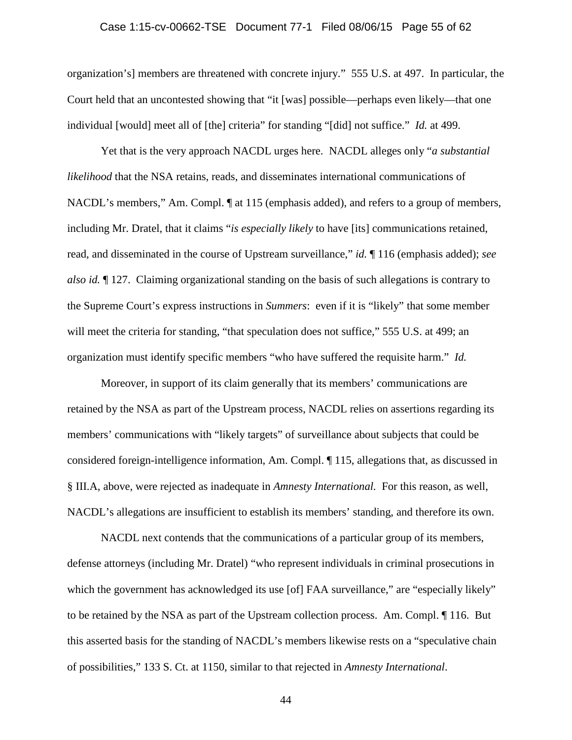## Case 1:15-cv-00662-TSE Document 77-1 Filed 08/06/15 Page 55 of 62

organization's] members are threatened with concrete injury." 555 U.S. at 497. In particular, the Court held that an uncontested showing that "it [was] possible—perhaps even likely—that one individual [would] meet all of [the] criteria" for standing "[did] not suffice." *Id.* at 499.

Yet that is the very approach NACDL urges here. NACDL alleges only "*a substantial likelihood* that the NSA retains, reads, and disseminates international communications of NACDL's members," Am. Compl.  $\P$  at 115 (emphasis added), and refers to a group of members, including Mr. Dratel, that it claims "*is especially likely* to have [its] communications retained, read, and disseminated in the course of Upstream surveillance," *id.* ¶ 116 (emphasis added); *see also id.* ¶ 127. Claiming organizational standing on the basis of such allegations is contrary to the Supreme Court's express instructions in *Summers*: even if it is "likely" that some member will meet the criteria for standing, "that speculation does not suffice," 555 U.S. at 499; an organization must identify specific members "who have suffered the requisite harm." *Id.* 

Moreover, in support of its claim generally that its members' communications are retained by the NSA as part of the Upstream process, NACDL relies on assertions regarding its members' communications with "likely targets" of surveillance about subjects that could be considered foreign-intelligence information, Am. Compl. ¶ 115, allegations that, as discussed in § III.A, above, were rejected as inadequate in *Amnesty International.* For this reason, as well, NACDL's allegations are insufficient to establish its members' standing, and therefore its own.

NACDL next contends that the communications of a particular group of its members, defense attorneys (including Mr. Dratel) "who represent individuals in criminal prosecutions in which the government has acknowledged its use [of] FAA surveillance," are "especially likely" to be retained by the NSA as part of the Upstream collection process. Am. Compl. ¶ 116. But this asserted basis for the standing of NACDL's members likewise rests on a "speculative chain of possibilities," 133 S. Ct. at 1150, similar to that rejected in *Amnesty International*.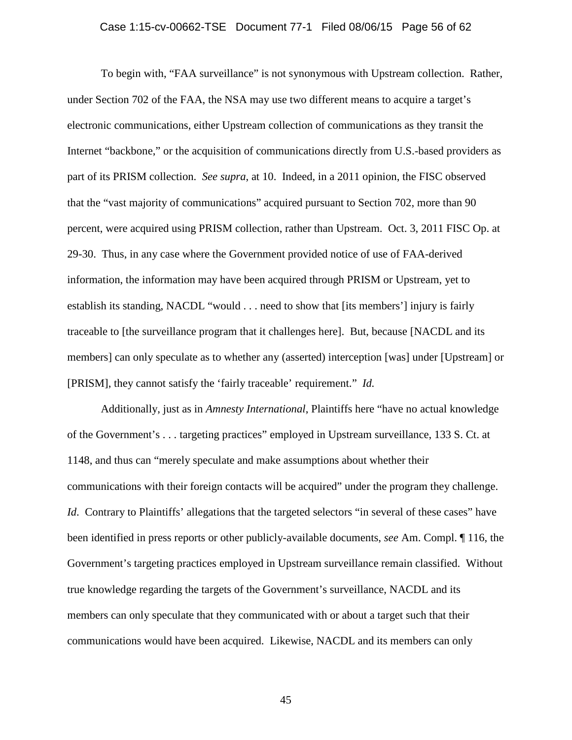To begin with, "FAA surveillance" is not synonymous with Upstream collection. Rather, under Section 702 of the FAA, the NSA may use two different means to acquire a target's electronic communications, either Upstream collection of communications as they transit the Internet "backbone," or the acquisition of communications directly from U.S.-based providers as part of its PRISM collection. *See supra*, at 10. Indeed, in a 2011 opinion, the FISC observed that the "vast majority of communications" acquired pursuant to Section 702, more than 90 percent, were acquired using PRISM collection, rather than Upstream. Oct. 3, 2011 FISC Op. at 29-30. Thus, in any case where the Government provided notice of use of FAA-derived information, the information may have been acquired through PRISM or Upstream, yet to establish its standing, NACDL "would . . . need to show that [its members'] injury is fairly traceable to [the surveillance program that it challenges here]. But, because [NACDL and its members] can only speculate as to whether any (asserted) interception [was] under [Upstream] or [PRISM], they cannot satisfy the 'fairly traceable' requirement." *Id.*

Additionally, just as in *Amnesty International*, Plaintiffs here "have no actual knowledge of the Government's . . . targeting practices" employed in Upstream surveillance, 133 S. Ct. at 1148, and thus can "merely speculate and make assumptions about whether their communications with their foreign contacts will be acquired" under the program they challenge. *Id.* Contrary to Plaintiffs' allegations that the targeted selectors "in several of these cases" have been identified in press reports or other publicly-available documents, *see* Am. Compl. ¶ 116, the Government's targeting practices employed in Upstream surveillance remain classified.Without true knowledge regarding the targets of the Government's surveillance, NACDL and its members can only speculate that they communicated with or about a target such that their communications would have been acquired. Likewise, NACDL and its members can only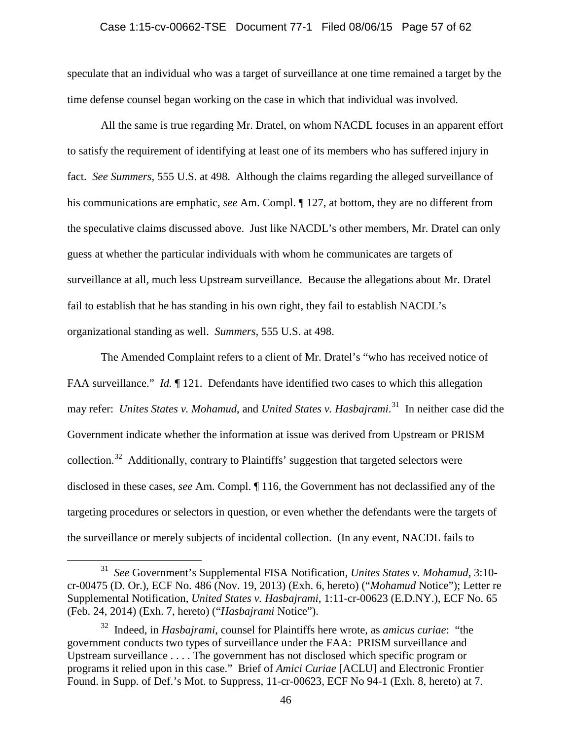## Case 1:15-cv-00662-TSE Document 77-1 Filed 08/06/15 Page 57 of 62

speculate that an individual who was a target of surveillance at one time remained a target by the time defense counsel began working on the case in which that individual was involved.

All the same is true regarding Mr. Dratel, on whom NACDL focuses in an apparent effort to satisfy the requirement of identifying at least one of its members who has suffered injury in fact. *See Summers*, 555 U.S. at 498. Although the claims regarding the alleged surveillance of his communications are emphatic, *see* Am. Compl. ¶ 127, at bottom, they are no different from the speculative claims discussed above. Just like NACDL's other members, Mr. Dratel can only guess at whether the particular individuals with whom he communicates are targets of surveillance at all, much less Upstream surveillance. Because the allegations about Mr. Dratel fail to establish that he has standing in his own right, they fail to establish NACDL's organizational standing as well. *Summers*, 555 U.S. at 498.

The Amended Complaint refers to a client of Mr. Dratel's "who has received notice of FAA surveillance." *Id.* 121. Defendants have identified two cases to which this allegation may refer: *Unites States v. Mohamud*, and *United States v. Hasbajrami*. [31](#page-56-0) In neither case did the Government indicate whether the information at issue was derived from Upstream or PRISM collection.<sup>[32](#page-56-1)</sup> Additionally, contrary to Plaintiffs' suggestion that targeted selectors were disclosed in these cases, *see* Am. Compl. ¶ 116, the Government has not declassified any of the targeting procedures or selectors in question, or even whether the defendants were the targets of the surveillance or merely subjects of incidental collection. (In any event, NACDL fails to

<span id="page-56-0"></span> <sup>31</sup> *See* Government's Supplemental FISA Notification, *Unites States v. Mohamud*, 3:10 cr-00475 (D. Or.), ECF No. 486 (Nov. 19, 2013) (Exh. 6, hereto) ("*Mohamud* Notice"); Letter re Supplemental Notification, *United States v. Hasbajrami*, 1:11-cr-00623 (E.D.NY.), ECF No. 65 (Feb. 24, 2014) (Exh. 7, hereto) ("*Hasbajrami* Notice").

<span id="page-56-1"></span><sup>32</sup> Indeed, in *Hasbajrami*, counsel for Plaintiffs here wrote, as *amicus curiae*: "the government conducts two types of surveillance under the FAA: PRISM surveillance and Upstream surveillance . . . . The government has not disclosed which specific program or programs it relied upon in this case." Brief of *Amici Curiae* [ACLU] and Electronic Frontier Found. in Supp. of Def.'s Mot. to Suppress, 11-cr-00623, ECF No 94-1 (Exh. 8, hereto) at 7.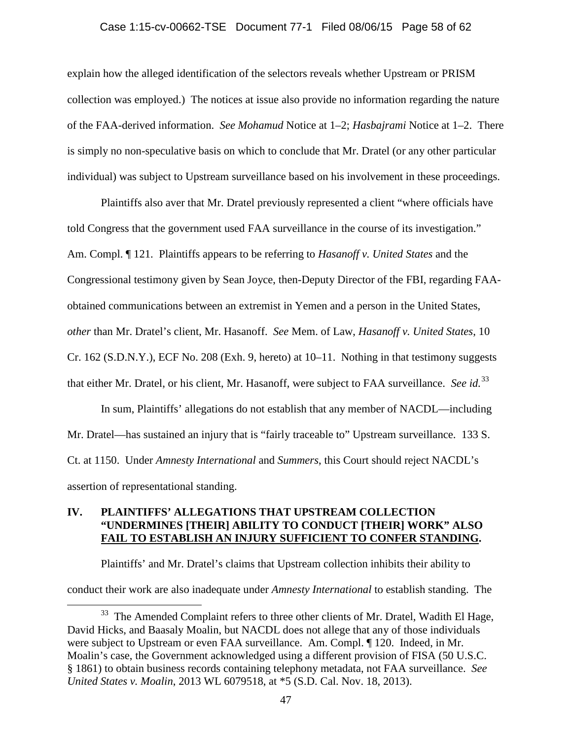## Case 1:15-cv-00662-TSE Document 77-1 Filed 08/06/15 Page 58 of 62

explain how the alleged identification of the selectors reveals whether Upstream or PRISM collection was employed.) The notices at issue also provide no information regarding the nature of the FAA-derived information. *See Mohamud* Notice at 1–2; *Hasbajrami* Notice at 1–2. There is simply no non-speculative basis on which to conclude that Mr. Dratel (or any other particular individual) was subject to Upstream surveillance based on his involvement in these proceedings.

Plaintiffs also aver that Mr. Dratel previously represented a client "where officials have told Congress that the government used FAA surveillance in the course of its investigation." Am. Compl. ¶ 121. Plaintiffs appears to be referring to *Hasanoff v. United States* and the Congressional testimony given by Sean Joyce, then-Deputy Director of the FBI, regarding FAAobtained communications between an extremist in Yemen and a person in the United States, *other* than Mr. Dratel's client, Mr. Hasanoff. *See* Mem. of Law, *Hasanoff v. United States*, 10 Cr. 162 (S.D.N.Y.), ECF No. 208 (Exh. 9, hereto) at 10–11. Nothing in that testimony suggests that either Mr. Dratel, or his client, Mr. Hasanoff, were subject to FAA surveillance. *See id.*[33](#page-57-0) 

In sum, Plaintiffs' allegations do not establish that any member of NACDL—including Mr. Dratel—has sustained an injury that is "fairly traceable to" Upstream surveillance. 133 S. Ct. at 1150. Under *Amnesty International* and *Summers*, this Court should reject NACDL's assertion of representational standing.

## **IV. PLAINTIFFS' ALLEGATIONS THAT UPSTREAM COLLECTION "UNDERMINES [THEIR] ABILITY TO CONDUCT [THEIR] WORK" ALSO FAIL TO ESTABLISH AN INJURY SUFFICIENT TO CONFER STANDING.**

Plaintiffs' and Mr. Dratel's claims that Upstream collection inhibits their ability to conduct their work are also inadequate under *Amnesty International* to establish standing. The

<span id="page-57-0"></span><sup>&</sup>lt;sup>33</sup> The Amended Complaint refers to three other clients of Mr. Dratel, Wadith El Hage, David Hicks, and Baasaly Moalin, but NACDL does not allege that any of those individuals were subject to Upstream or even FAA surveillance. Am. Compl. ¶ 120. Indeed, in Mr. Moalin's case, the Government acknowledged using a different provision of FISA (50 U.S.C. § 1861) to obtain business records containing telephony metadata, not FAA surveillance. *See United States v. Moalin*, 2013 WL 6079518, at \*5 (S.D. Cal. Nov. 18, 2013).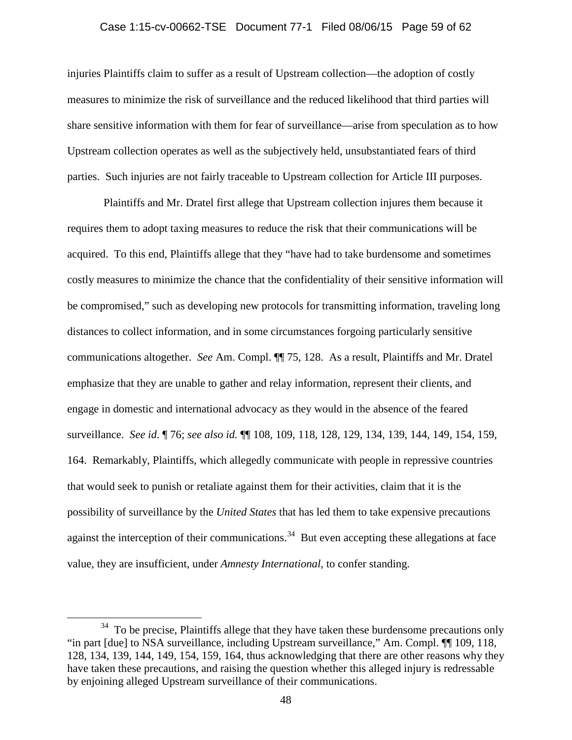#### Case 1:15-cv-00662-TSE Document 77-1 Filed 08/06/15 Page 59 of 62

injuries Plaintiffs claim to suffer as a result of Upstream collection—the adoption of costly measures to minimize the risk of surveillance and the reduced likelihood that third parties will share sensitive information with them for fear of surveillance—arise from speculation as to how Upstream collection operates as well as the subjectively held, unsubstantiated fears of third parties. Such injuries are not fairly traceable to Upstream collection for Article III purposes.

Plaintiffs and Mr. Dratel first allege that Upstream collection injures them because it requires them to adopt taxing measures to reduce the risk that their communications will be acquired. To this end, Plaintiffs allege that they "have had to take burdensome and sometimes costly measures to minimize the chance that the confidentiality of their sensitive information will be compromised," such as developing new protocols for transmitting information, traveling long distances to collect information, and in some circumstances forgoing particularly sensitive communications altogether. *See* Am. Compl. ¶¶ 75, 128. As a result, Plaintiffs and Mr. Dratel emphasize that they are unable to gather and relay information, represent their clients, and engage in domestic and international advocacy as they would in the absence of the feared surveillance. *See id*. ¶ 76; *see also id.* ¶¶ 108, 109, 118, 128, 129, 134, 139, 144, 149, 154, 159, 164. Remarkably, Plaintiffs, which allegedly communicate with people in repressive countries that would seek to punish or retaliate against them for their activities, claim that it is the possibility of surveillance by the *United States* that has led them to take expensive precautions against the interception of their communications.<sup>34</sup> But even accepting these allegations at face value, they are insufficient, under *Amnesty International,* to confer standing.

<span id="page-58-0"></span><sup>&</sup>lt;sup>34</sup> To be precise, Plaintiffs allege that they have taken these burdensome precautions only "in part [due] to NSA surveillance, including Upstream surveillance," Am. Compl. ¶¶ 109, 118, 128, 134, 139, 144, 149, 154, 159, 164, thus acknowledging that there are other reasons why they have taken these precautions, and raising the question whether this alleged injury is redressable by enjoining alleged Upstream surveillance of their communications.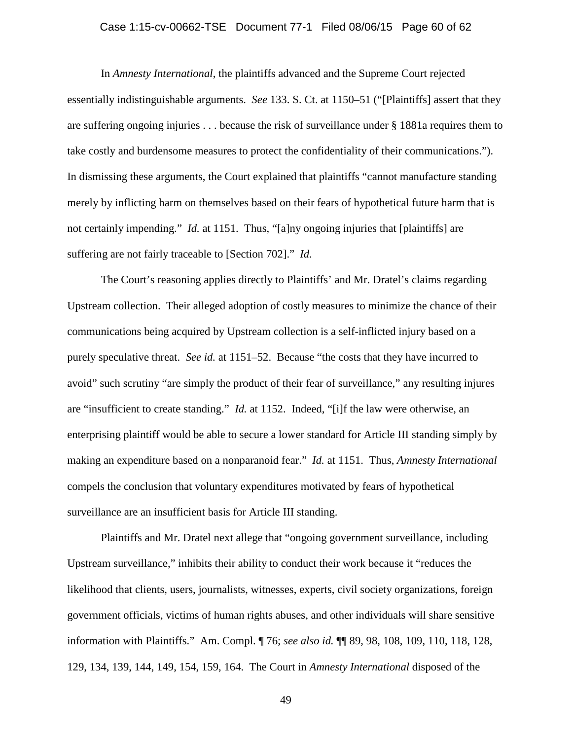## Case 1:15-cv-00662-TSE Document 77-1 Filed 08/06/15 Page 60 of 62

In *Amnesty International*, the plaintiffs advanced and the Supreme Court rejected essentially indistinguishable arguments. *See* 133. S. Ct. at 1150–51 ("[Plaintiffs] assert that they are suffering ongoing injuries . . . because the risk of surveillance under § 1881a requires them to take costly and burdensome measures to protect the confidentiality of their communications."). In dismissing these arguments, the Court explained that plaintiffs "cannot manufacture standing merely by inflicting harm on themselves based on their fears of hypothetical future harm that is not certainly impending." *Id.* at 1151. Thus, "[a]ny ongoing injuries that [plaintiffs] are suffering are not fairly traceable to [Section 702]." *Id.*

The Court's reasoning applies directly to Plaintiffs' and Mr. Dratel's claims regarding Upstream collection. Their alleged adoption of costly measures to minimize the chance of their communications being acquired by Upstream collection is a self-inflicted injury based on a purely speculative threat. *See id.* at 1151–52. Because "the costs that they have incurred to avoid" such scrutiny "are simply the product of their fear of surveillance," any resulting injures are "insufficient to create standing." *Id.* at 1152. Indeed, "[i]f the law were otherwise, an enterprising plaintiff would be able to secure a lower standard for Article III standing simply by making an expenditure based on a nonparanoid fear." *Id.* at 1151. Thus, *Amnesty International* compels the conclusion that voluntary expenditures motivated by fears of hypothetical surveillance are an insufficient basis for Article III standing.

Plaintiffs and Mr. Dratel next allege that "ongoing government surveillance, including Upstream surveillance," inhibits their ability to conduct their work because it "reduces the likelihood that clients, users, journalists, witnesses, experts, civil society organizations, foreign government officials, victims of human rights abuses, and other individuals will share sensitive information with Plaintiffs." Am. Compl. ¶ 76; *see also id.* ¶¶ 89, 98, 108, 109, 110, 118, 128, 129, 134, 139, 144, 149, 154, 159, 164. The Court in *Amnesty International* disposed of the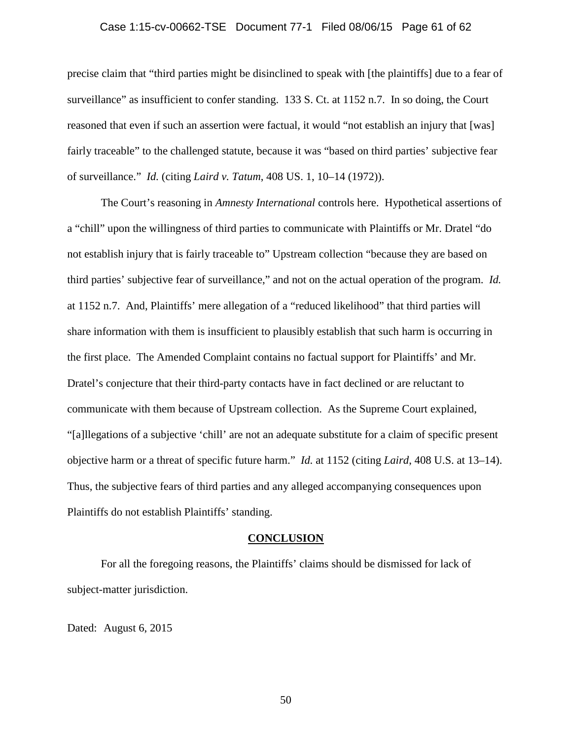## Case 1:15-cv-00662-TSE Document 77-1 Filed 08/06/15 Page 61 of 62

precise claim that "third parties might be disinclined to speak with [the plaintiffs] due to a fear of surveillance" as insufficient to confer standing. 133 S. Ct. at 1152 n.7. In so doing, the Court reasoned that even if such an assertion were factual, it would "not establish an injury that [was] fairly traceable" to the challenged statute, because it was "based on third parties' subjective fear of surveillance." *Id.* (citing *Laird v. Tatum*, 408 US. 1, 10–14 (1972)).

The Court's reasoning in *Amnesty International* controls here. Hypothetical assertions of a "chill" upon the willingness of third parties to communicate with Plaintiffs or Mr. Dratel "do not establish injury that is fairly traceable to" Upstream collection "because they are based on third parties' subjective fear of surveillance," and not on the actual operation of the program. *Id.* at 1152 n.7. And, Plaintiffs' mere allegation of a "reduced likelihood" that third parties will share information with them is insufficient to plausibly establish that such harm is occurring in the first place. The Amended Complaint contains no factual support for Plaintiffs' and Mr. Dratel's conjecture that their third-party contacts have in fact declined or are reluctant to communicate with them because of Upstream collection. As the Supreme Court explained, "[a]llegations of a subjective 'chill' are not an adequate substitute for a claim of specific present objective harm or a threat of specific future harm." *Id.* at 1152 (citing *Laird*, 408 U.S. at 13–14). Thus, the subjective fears of third parties and any alleged accompanying consequences upon Plaintiffs do not establish Plaintiffs' standing.

#### **CONCLUSION**

For all the foregoing reasons, the Plaintiffs' claims should be dismissed for lack of subject-matter jurisdiction.

Dated: August 6, 2015